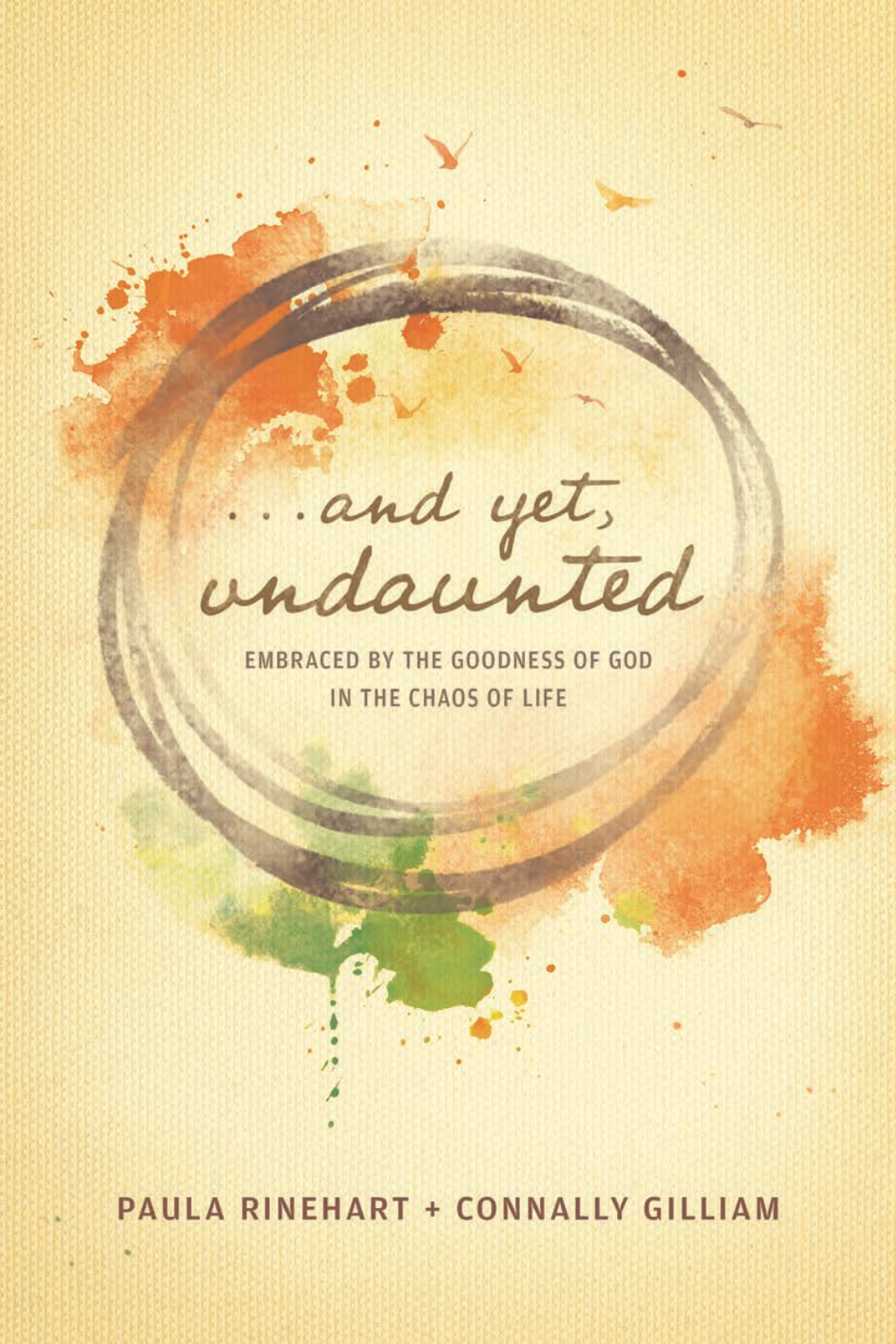... and yet,<br>undaunted

**EMBRACED BY THE GOODNESS OF GOD** IN THE CHAOS OF LIFE

PAULA RINEHART + CONNALLY GILLIAM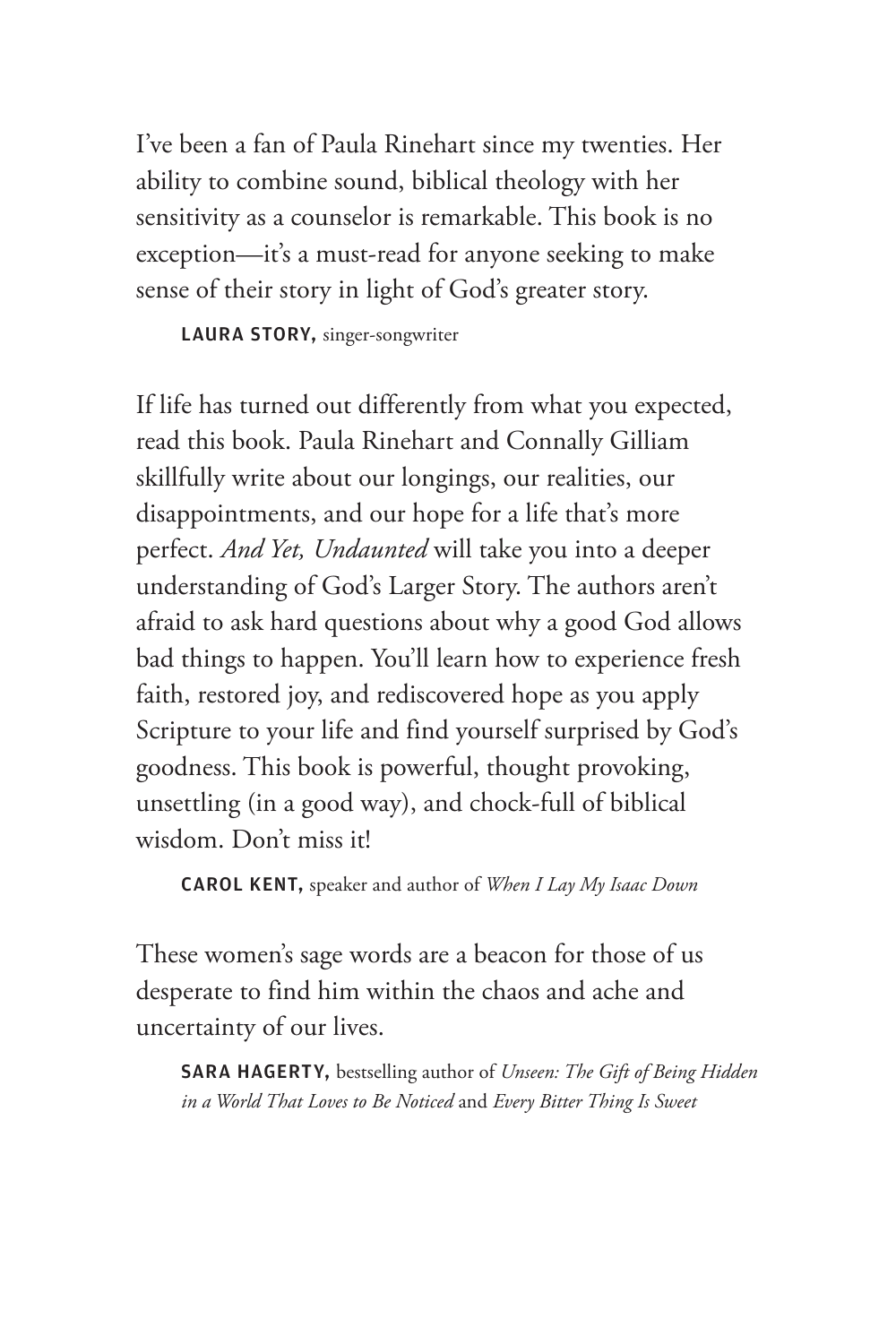I've been a fan of Paula Rinehart since my twenties. Her ability to combine sound, biblical theology with her sensitivity as a counselor is remarkable. This book is no exception—it's a must-read for anyone seeking to make sense of their story in light of God's greater story.

LAURA STORY, singer-songwriter

If life has turned out differently from what you expected, read this book. Paula Rinehart and Connally Gilliam skillfully write about our longings, our realities, our disappointments, and our hope for a life that's more perfect. *And Yet, Undaunted* will take you into a deeper understanding of God's Larger Story. The authors aren't afraid to ask hard questions about why a good God allows bad things to happen. You'll learn how to experience fresh faith, restored joy, and rediscovered hope as you apply Scripture to your life and find yourself surprised by God's goodness. This book is powerful, thought provoking, unsettling (in a good way), and chock-full of biblical wisdom. Don't miss it!

CAROL KENT, speaker and author of *When I Lay My Isaac Down*

These women's sage words are a beacon for those of us desperate to find him within the chaos and ache and uncertainty of our lives.

SARA HAGERTY, bestselling author of *Unseen: The Gift of Being Hidden in a World That Loves to Be Noticed* and *Every Bitter Thing Is Sweet*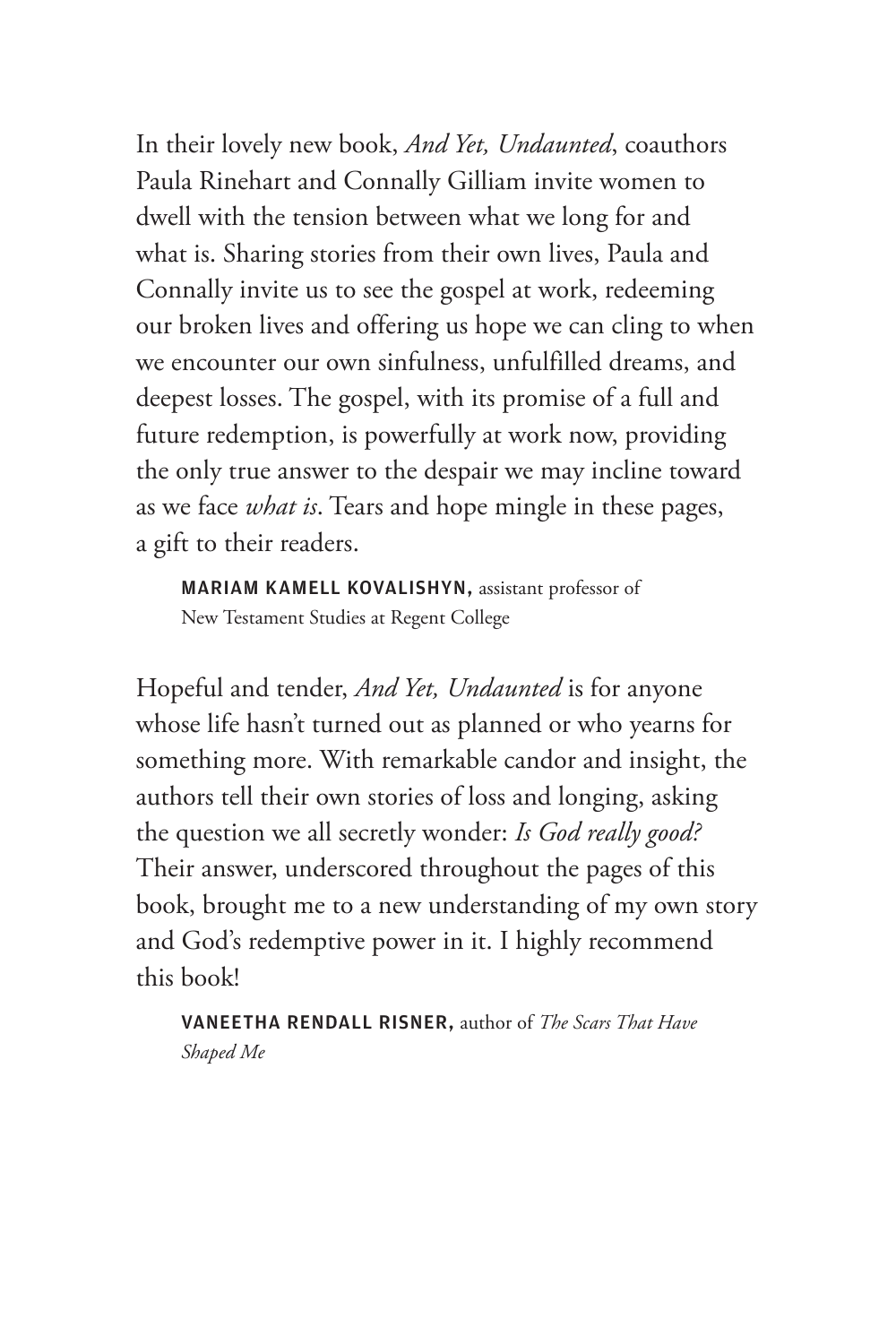In their lovely new book, *And Yet, Undaunted*, coauthors Paula Rinehart and Connally Gilliam invite women to dwell with the tension between what we long for and what is. Sharing stories from their own lives, Paula and Connally invite us to see the gospel at work, redeeming our broken lives and offering us hope we can cling to when we encounter our own sinfulness, unfulfilled dreams, and deepest losses. The gospel, with its promise of a full and future redemption, is powerfully at work now, providing the only true answer to the despair we may incline toward as we face *what is*. Tears and hope mingle in these pages, a gift to their readers.

MARIAM KAMELL KOVALISHYN, assistant professor of New Testament Studies at Regent College

Hopeful and tender, *And Yet, Undaunted* is for anyone whose life hasn't turned out as planned or who yearns for something more. With remarkable candor and insight, the authors tell their own stories of loss and longing, asking the question we all secretly wonder: *Is God really good?* Their answer, underscored throughout the pages of this book, brought me to a new understanding of my own story and God's redemptive power in it. I highly recommend this book!

VANEETHA RENDALL RISNER, author of *The Scars That Have Shaped Me*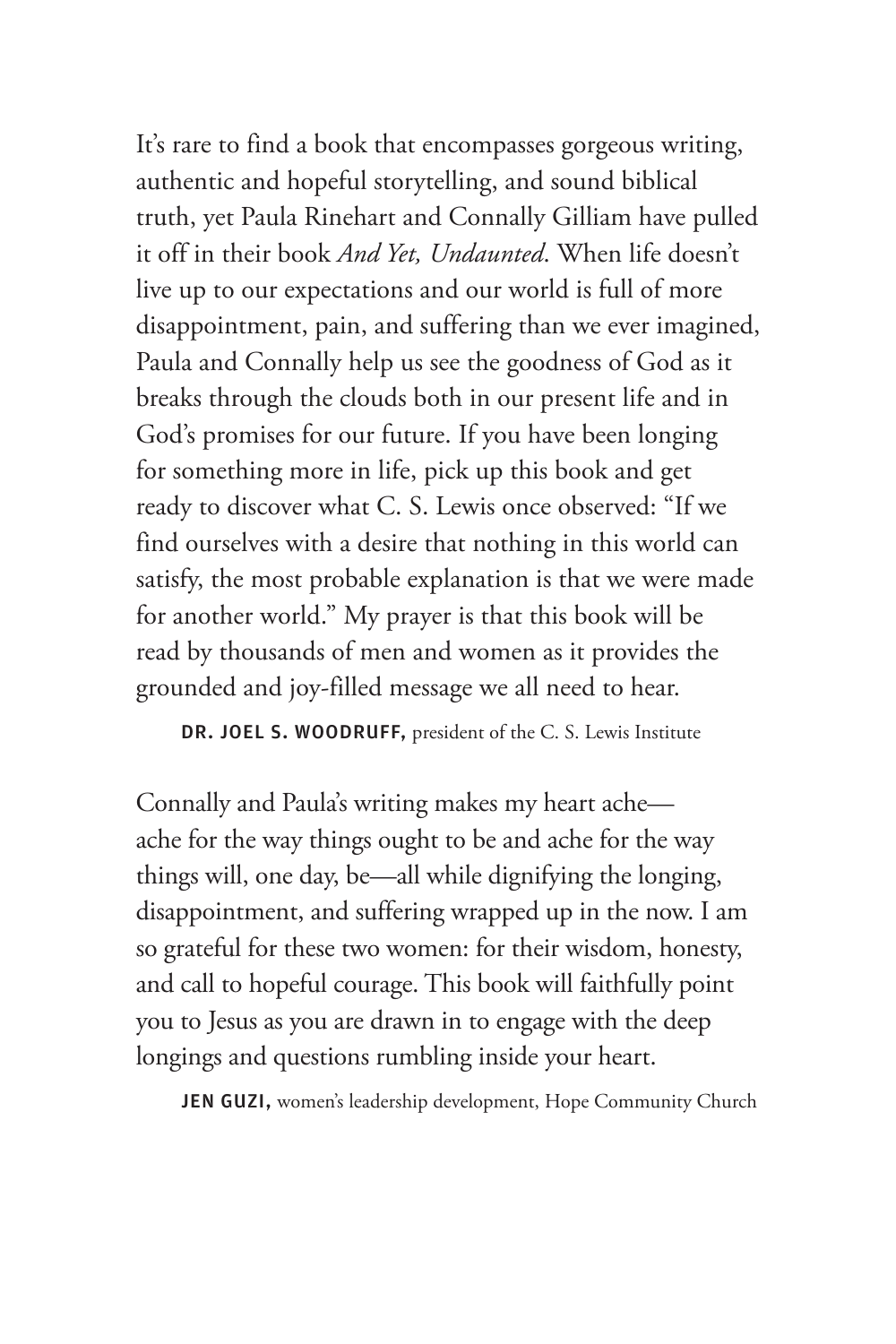It's rare to find a book that encompasses gorgeous writing, authentic and hopeful storytelling, and sound biblical truth, yet Paula Rinehart and Connally Gilliam have pulled it off in their book *And Yet, Undaunted*. When life doesn't live up to our expectations and our world is full of more disappointment, pain, and suffering than we ever imagined, Paula and Connally help us see the goodness of God as it breaks through the clouds both in our present life and in God's promises for our future. If you have been longing for something more in life, pick up this book and get ready to discover what C. S. Lewis once observed: "If we find ourselves with a desire that nothing in this world can satisfy, the most probable explanation is that we were made for another world." My prayer is that this book will be read by thousands of men and women as it provides the grounded and joy-filled message we all need to hear.

DR. JOEL S. WOODRUFF, president of the C. S. Lewis Institute

Connally and Paula's writing makes my heart ache ache for the way things ought to be and ache for the way things will, one day, be—all while dignifying the longing, disappointment, and suffering wrapped up in the now. I am so grateful for these two women: for their wisdom, honesty, and call to hopeful courage. This book will faithfully point you to Jesus as you are drawn in to engage with the deep longings and questions rumbling inside your heart.

JEN GUZI, women's leadership development, Hope Community Church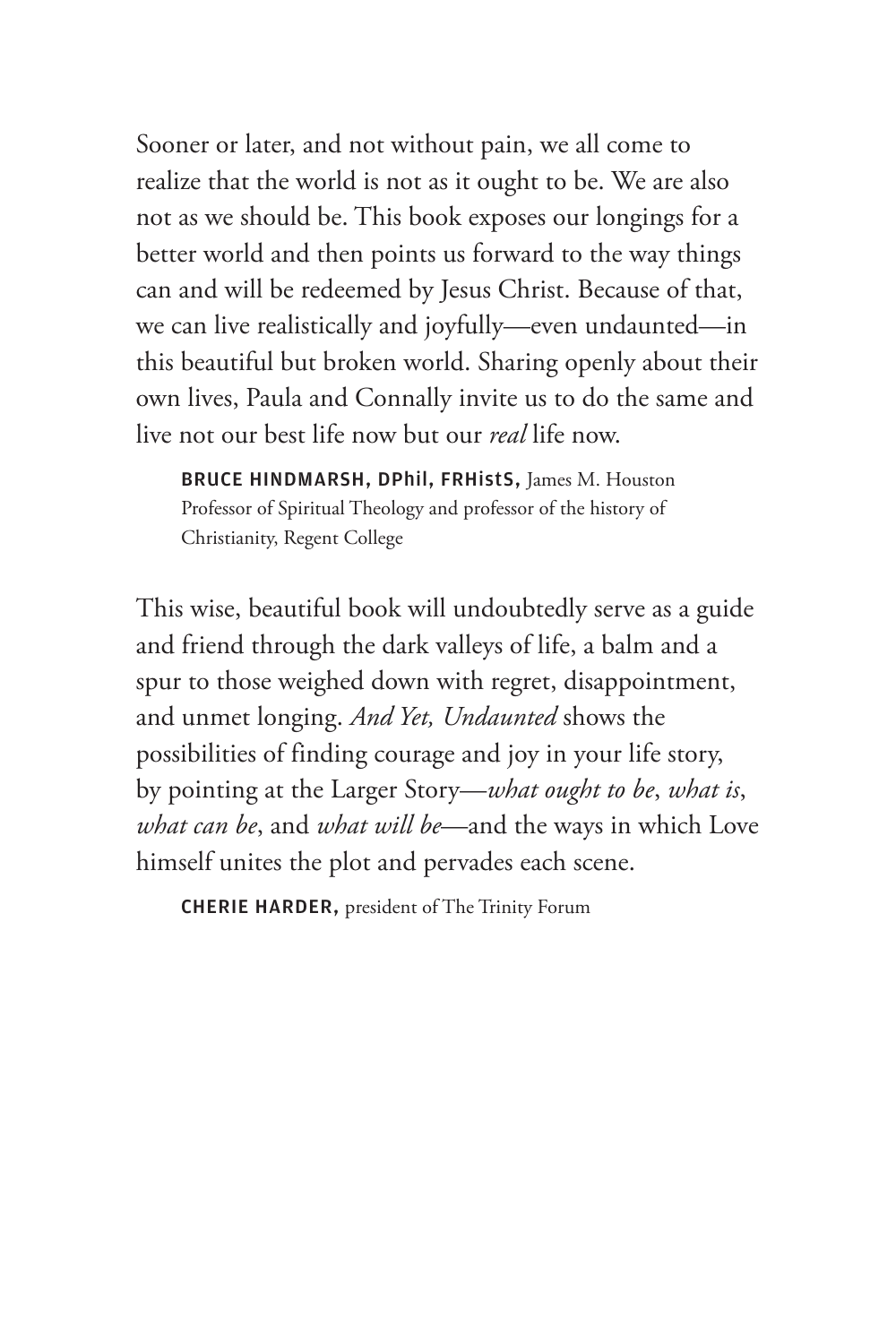Sooner or later, and not without pain, we all come to realize that the world is not as it ought to be. We are also not as we should be. This book exposes our longings for a better world and then points us forward to the way things can and will be redeemed by Jesus Christ. Because of that, we can live realistically and joyfully—even undaunted—in this beautiful but broken world. Sharing openly about their own lives, Paula and Connally invite us to do the same and live not our best life now but our *real* life now.

BRUCE HINDMARSH, DPhil, FRHistS, James M. Houston Professor of Spiritual Theology and professor of the history of Christianity, Regent College

This wise, beautiful book will undoubtedly serve as a guide and friend through the dark valleys of life, a balm and a spur to those weighed down with regret, disappointment, and unmet longing. *And Yet, Undaunted* shows the possibilities of finding courage and joy in your life story, by pointing at the Larger Story—*what ought to be*, *what is*, *what can be*, and *what will be*—and the ways in which Love himself unites the plot and pervades each scene.

CHERIE HARDER, president of The Trinity Forum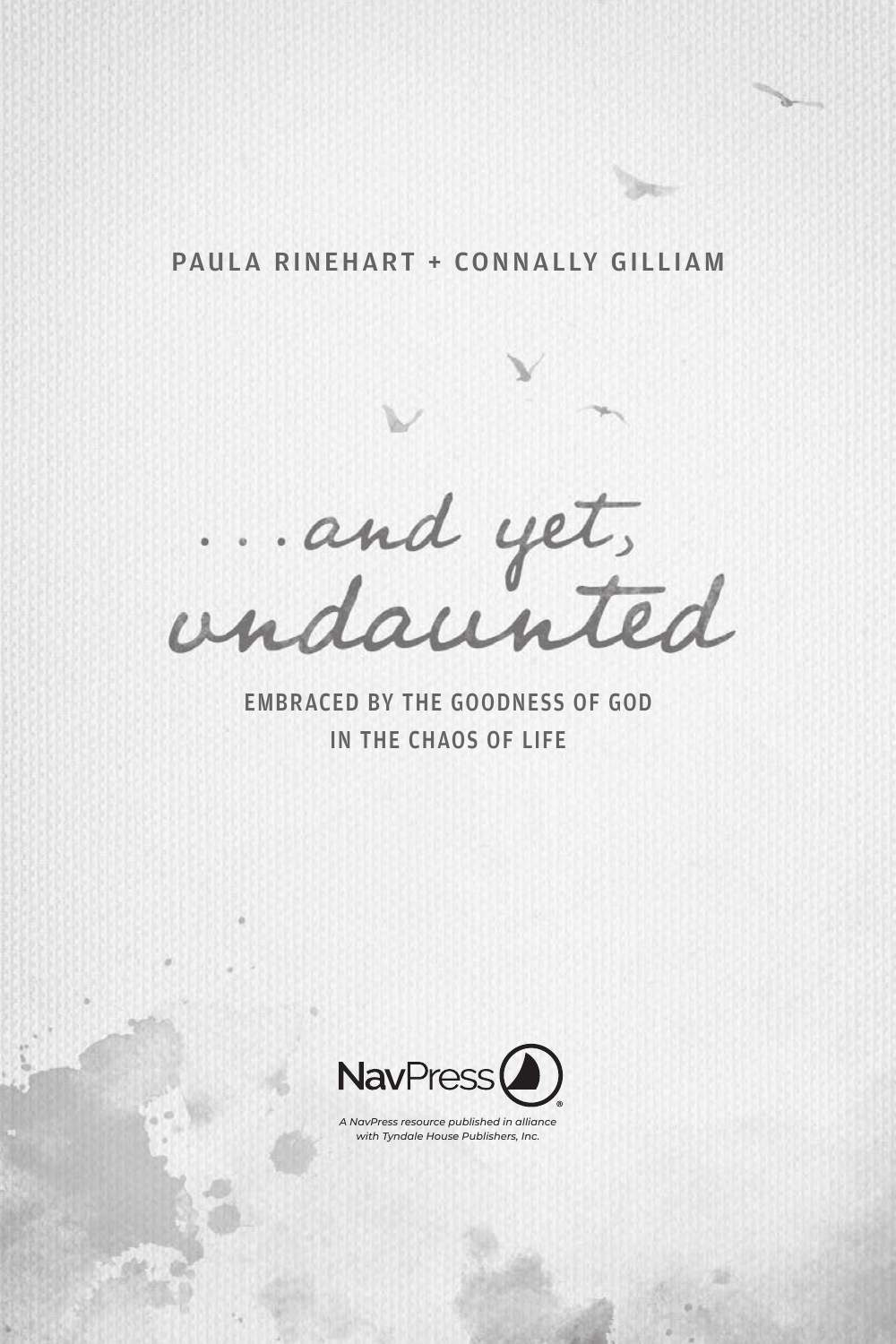### PAULA RINEHART + CONNALLY GILLIAM

... and yet,<br>undaunted

EMBRACED BY THE GOODNESS OF GOD IN THE CHAOS OF LIFE



*A NavPress resource published in alliance with Tyndale House Publishers, Inc.*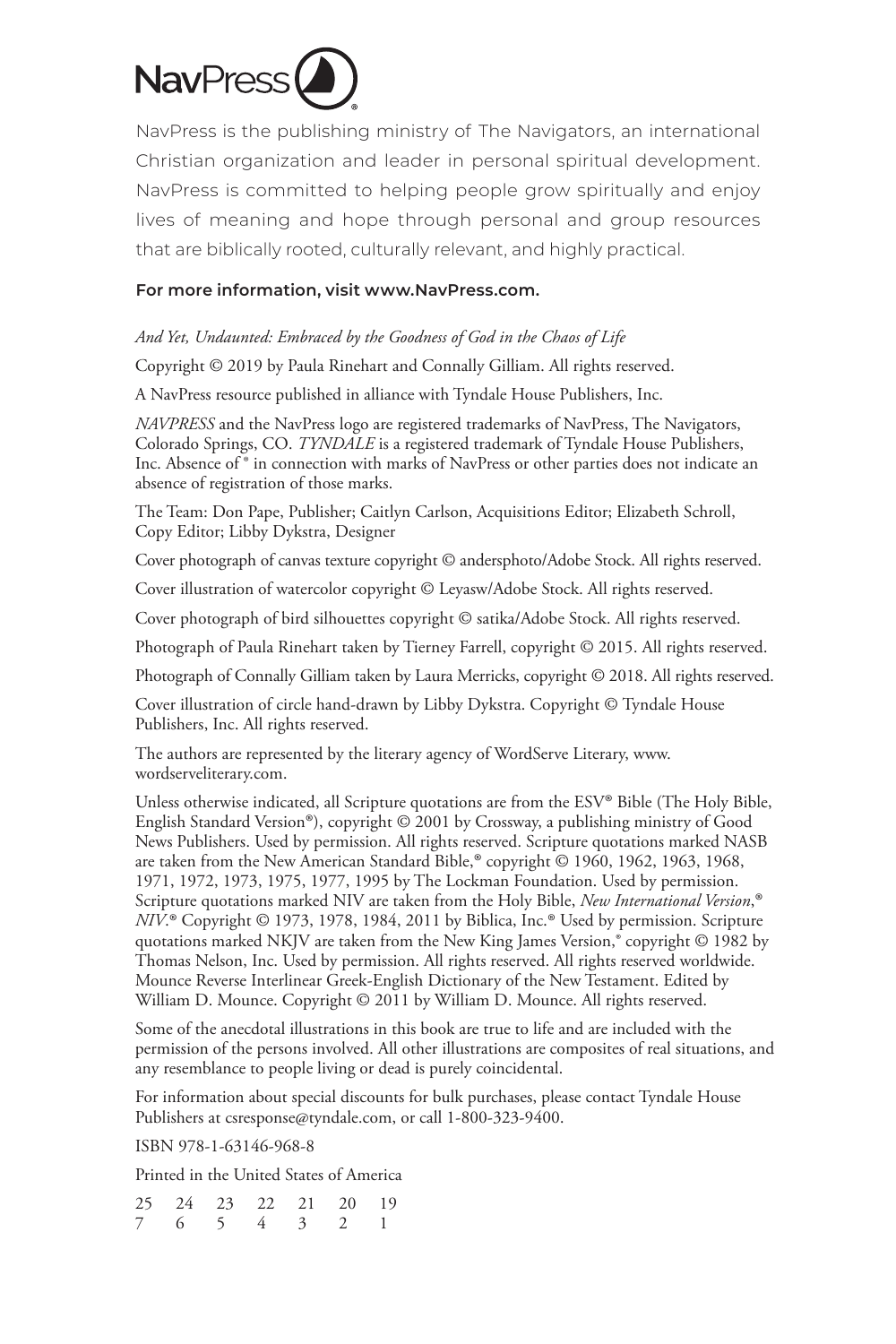

NavPress is the publishing ministry of The Navigators, an international Christian organization and leader in personal spiritual development. NavPress is committed to helping people grow spiritually and enjoy lives of meaning and hope through personal and group resources that are biblically rooted, culturally relevant, and highly practical.

#### **For more information, visit www.NavPress.com.**

#### *And Yet, Undaunted: Embraced by the Goodness of God in the Chaos of Life*

Copyright © 2019 by Paula Rinehart and Connally Gilliam. All rights reserved.

A NavPress resource published in alliance with Tyndale House Publishers, Inc.

*NAVPRESS* and the NavPress logo are registered trademarks of NavPress, The Navigators, Colorado Springs, CO. *TYNDALE* is a registered trademark of Tyndale House Publishers, Inc. Absence of ® in connection with marks of NavPress or other parties does not indicate an absence of registration of those marks.

The Team: Don Pape, Publisher; Caitlyn Carlson, Acquisitions Editor; Elizabeth Schroll, Copy Editor; Libby Dykstra, Designer

Cover photograph of canvas texture copyright © andersphoto/Adobe Stock. All rights reserved.

Cover illustration of watercolor copyright © Leyasw/Adobe Stock. All rights reserved.

Cover photograph of bird silhouettes copyright © satika/Adobe Stock. All rights reserved.

Photograph of Paula Rinehart taken by Tierney Farrell, copyright © 2015. All rights reserved.

Photograph of Connally Gilliam taken by Laura Merricks, copyright © 2018. All rights reserved.

Cover illustration of circle hand-drawn by Libby Dykstra. Copyright © Tyndale House Publishers, Inc. All rights reserved.

The authors are represented by the literary agency of WordServe Literary, www. wordserveliterary.com.

Unless otherwise indicated, all Scripture quotations are from the ESV® Bible (The Holy Bible, English Standard Version®), copyright © 2001 by Crossway, a publishing ministry of Good News Publishers. Used by permission. All rights reserved. Scripture quotations marked NASB are taken from the New American Standard Bible,® copyright © 1960, 1962, 1963, 1968, 1971, 1972, 1973, 1975, 1977, 1995 by The Lockman Foundation. Used by permission. Scripture quotations marked NIV are taken from the Holy Bible, *New International Version*, ® *NIV*. ® Copyright © 1973, 1978, 1984, 2011 by Biblica, Inc.® Used by permission. Scripture quotations marked NKJV are taken from the New King James Version,® copyright © 1982 by Thomas Nelson, Inc. Used by permission. All rights reserved. All rights reserved worldwide. Mounce Reverse Interlinear Greek-English Dictionary of the New Testament. Edited by William D. Mounce. Copyright © 2011 by William D. Mounce. All rights reserved.

Some of the anecdotal illustrations in this book are true to life and are included with the permission of the persons involved. All other illustrations are composites of real situations, and any resemblance to people living or dead is purely coincidental.

For information about special discounts for bulk purchases, please contact Tyndale House Publishers at csresponse@tyndale.com, or call 1-800-323-9400.

ISBN 978-1-63146-968-8

Printed in the United States of America

|  |  | 25  24  23  22  21  20  19 |  |
|--|--|----------------------------|--|
|  |  | 7 6 5 4 3 2 1              |  |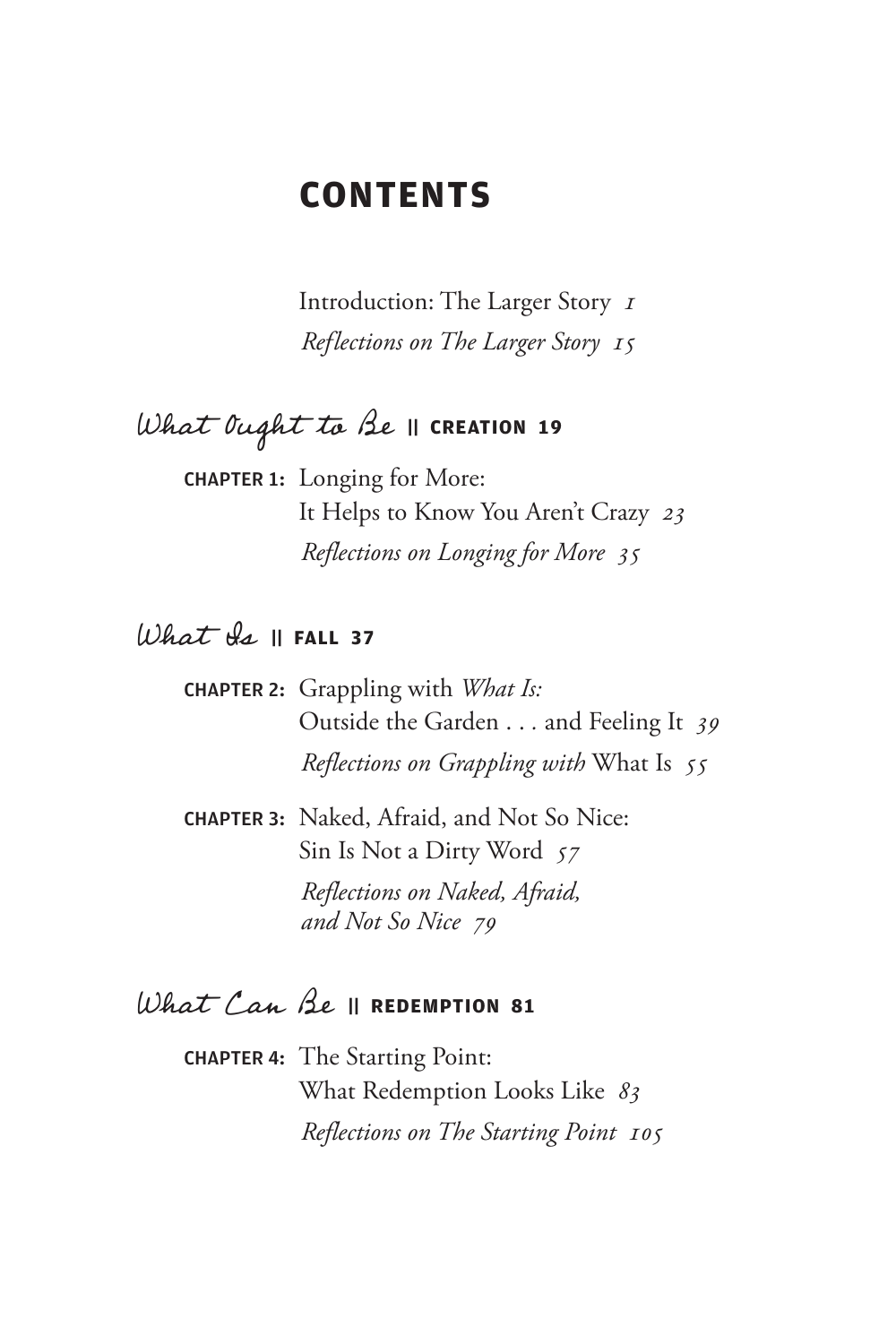# **CONTENTS**

 [Introduction: The Larger Story](#page-12-0) *1 [Reflections on The Larger Story 15](#page-26-0)*

# [What Ought to Be](#page-30-0) **|| CREATION 19**

CHAPTER 1: Longing for More: [It Helps to Know You Aren't Crazy](#page-34-0) *23 [Reflections on Longing for More 35](#page-46-0)*

## What  $dx$  || FALL 37

CHAPTER 2: Grappling with *What Is:* Outside the Garden . . *.* and Feeling It *39 Reflections on Grappling with* What Is *55*

CHAPTER 3: Naked, Afraid, and Not So Nice: Sin Is Not a Dirty Word *57 Reflections on Naked, Afraid, and Not So Nice 79*

## What Can Be **|| REDEMPTION 81**

CHAPTER 4: The Starting Point: What Redemption Looks Like *83 Reflections on The Starting Point 105*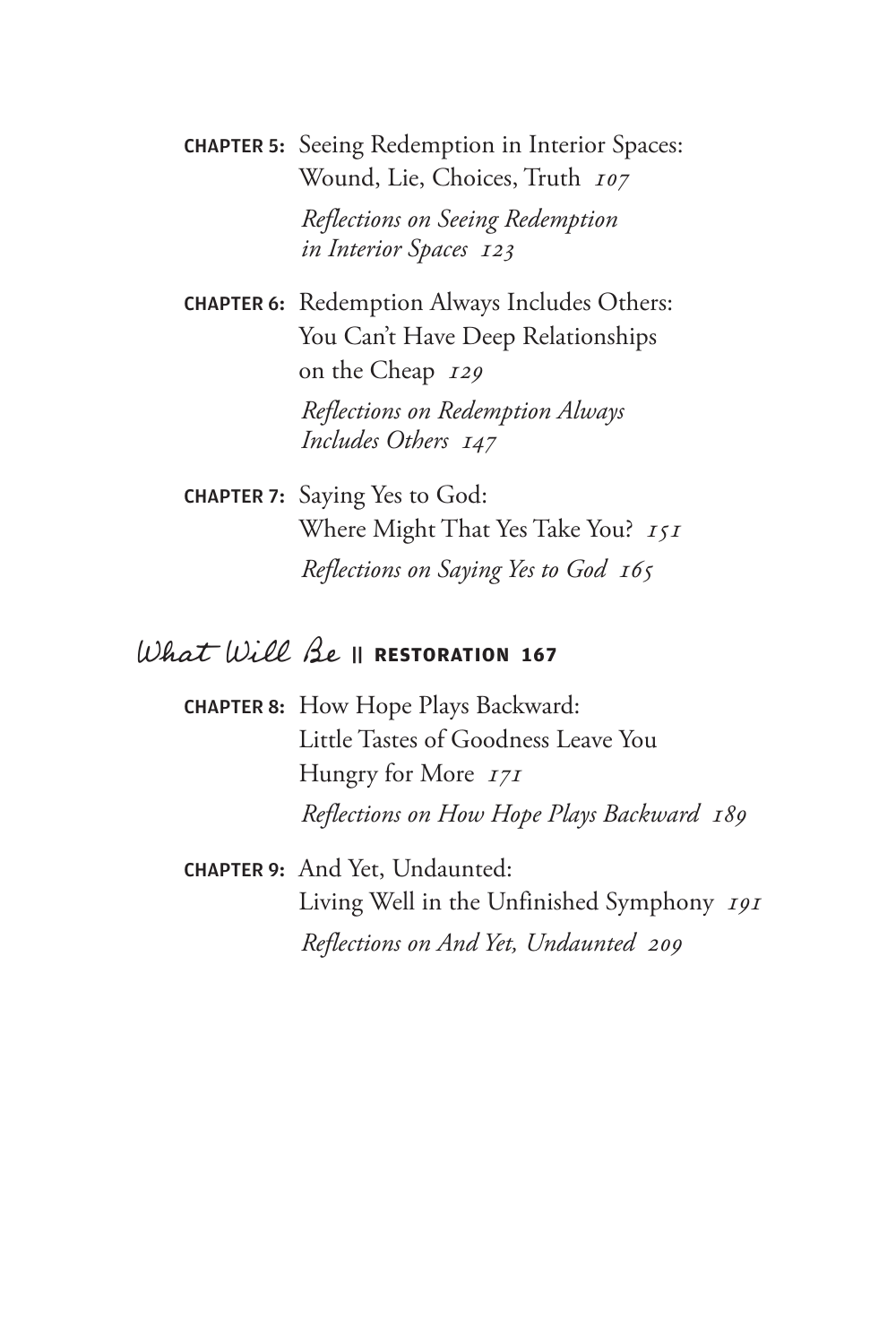CHAPTER 5: Seeing Redemption in Interior Spaces: Wound, Lie, Choices, Truth *107 Reflections on Seeing Redemption in Interior Spaces 123*

CHAPTER 6: Redemption Always Includes Others: You Can't Have Deep Relationships on the Cheap *129*

> *Reflections on Redemption Always Includes Others 147*

CHAPTER 7: Saying Yes to God: Where Might That Yes Take You? *151 Reflections on Saying Yes to God 165*

## What Will Be **|| RESTORATION 167**

- CHAPTER 8: How Hope Plays Backward: Little Tastes of Goodness Leave You Hungry for More *171 Reflections on How Hope Plays Backward 189*
- CHAPTER 9: And Yet, Undaunted: Living Well in the Unfinished Symphony *191 Reflections on And Yet, Undaunted 209*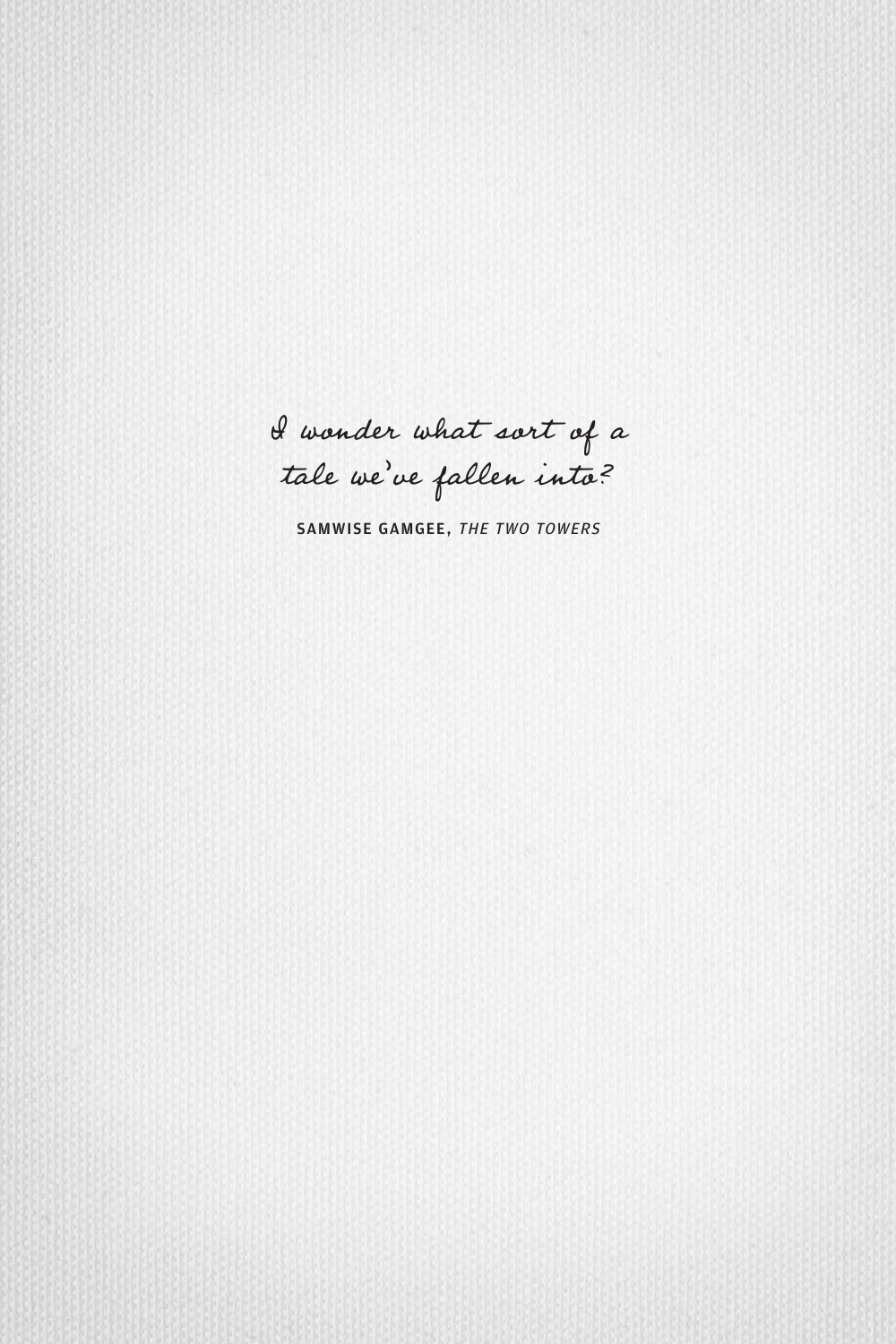I wonder what sort of a tale we've fallen into?

SAMWISE GAMGEE, THE TWO TOWERS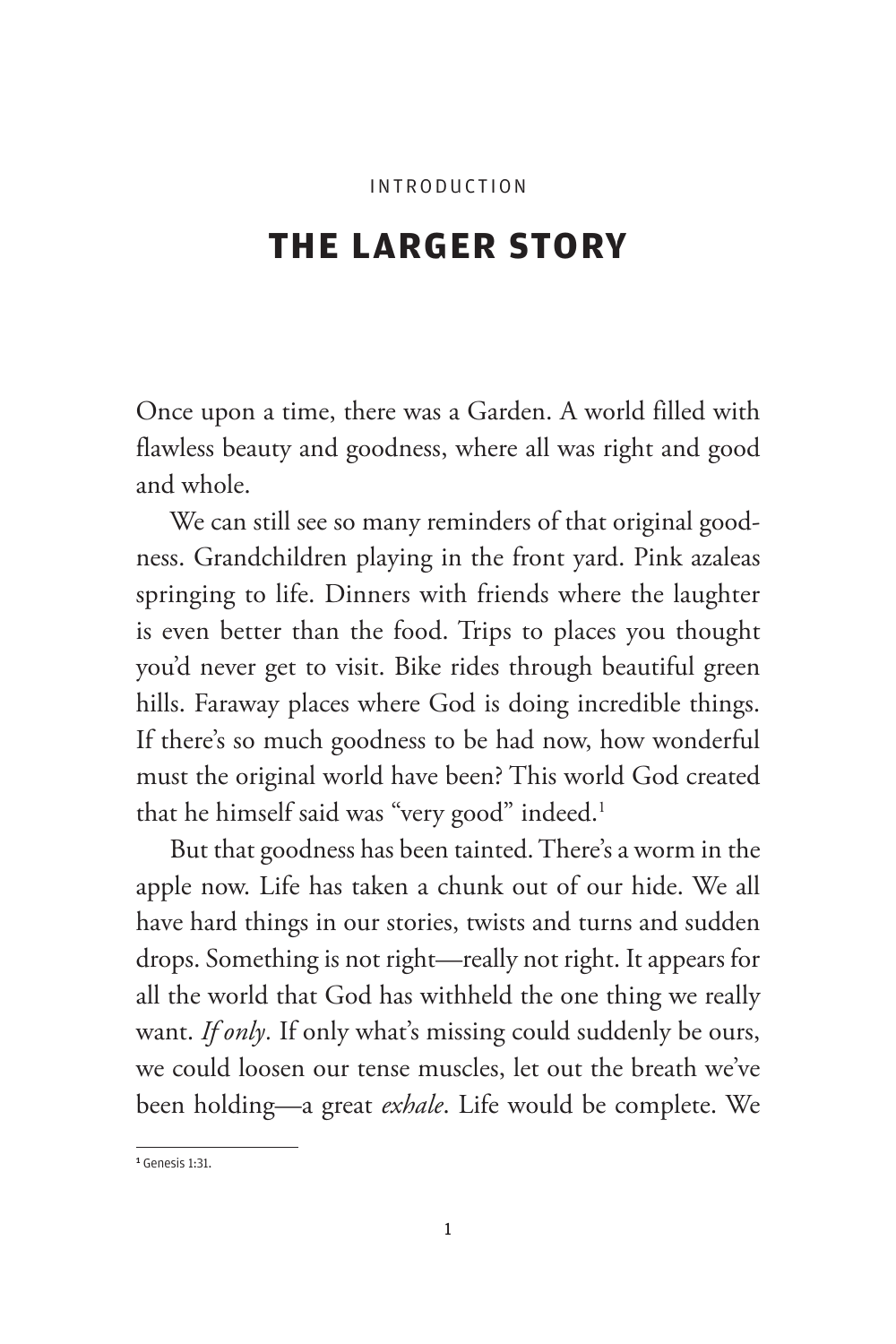# <span id="page-12-0"></span>**THE LARGER STORY**

Once upon a time, there was a Garden. A world filled with flawless beauty and goodness, where all was right and good and whole.

We can still see so many reminders of that original goodness. Grandchildren playing in the front yard. Pink azaleas springing to life. Dinners with friends where the laughter is even better than the food. Trips to places you thought you'd never get to visit. Bike rides through beautiful green hills. Faraway places where God is doing incredible things. If there's so much goodness to be had now, how wonderful must the original world have been? This world God created that he himself said was "very good" indeed.<sup>1</sup>

But that goodness has been tainted. There's a worm in the apple now. Life has taken a chunk out of our hide. We all have hard things in our stories, twists and turns and sudden drops. Something is not right—really not right. It appears for all the world that God has withheld the one thing we really want. *If only.* If only what's missing could suddenly be ours, we could loosen our tense muscles, let out the breath we've been holding—a great *exhale*. Life would be complete. We

<sup>1</sup> Genesis 1:31.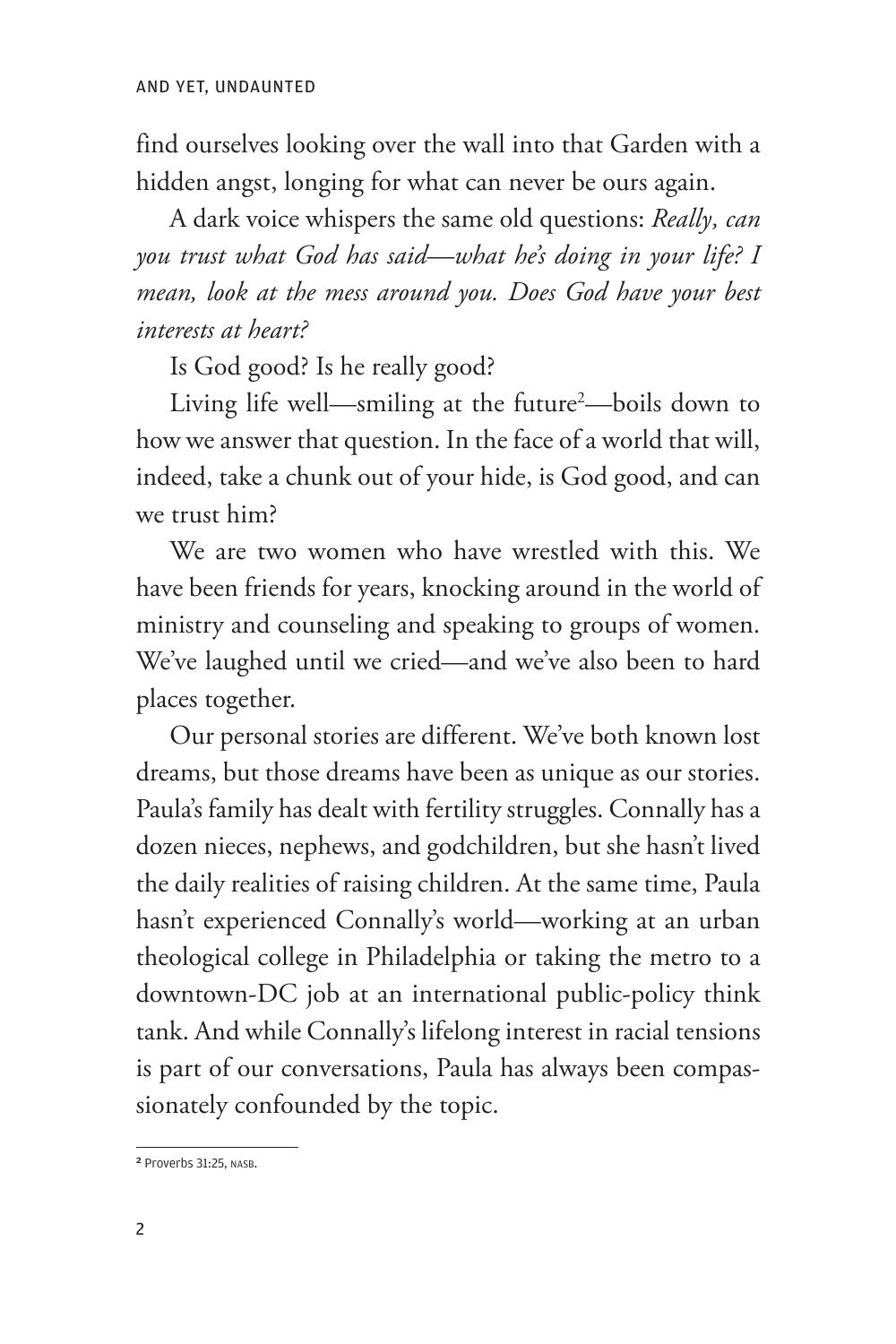find ourselves looking over the wall into that Garden with a hidden angst, longing for what can never be ours again.

A dark voice whispers the same old questions: *Really, can you trust what God has said—what he's doing in your life? I mean, look at the mess around you. Does God have your best interests at heart?* 

Is God good? Is he really good?

Living life well—smiling at the future2 —boils down to how we answer that question. In the face of a world that will, indeed, take a chunk out of your hide, is God good, and can we trust him?

We are two women who have wrestled with this. We have been friends for years, knocking around in the world of ministry and counseling and speaking to groups of women. We've laughed until we cried—and we've also been to hard places together.

Our personal stories are different. We've both known lost dreams, but those dreams have been as unique as our stories. Paula's family has dealt with fertility struggles. Connally has a dozen nieces, nephews, and godchildren, but she hasn't lived the daily realities of raising children. At the same time, Paula hasn't experienced Connally's world—working at an urban theological college in Philadelphia or taking the metro to a downtown-DC job at an international public-policy think tank. And while Connally's lifelong interest in racial tensions is part of our conversations, Paula has always been compassionately confounded by the topic.

 $2$  Proverbs  $31:25$ , NASB.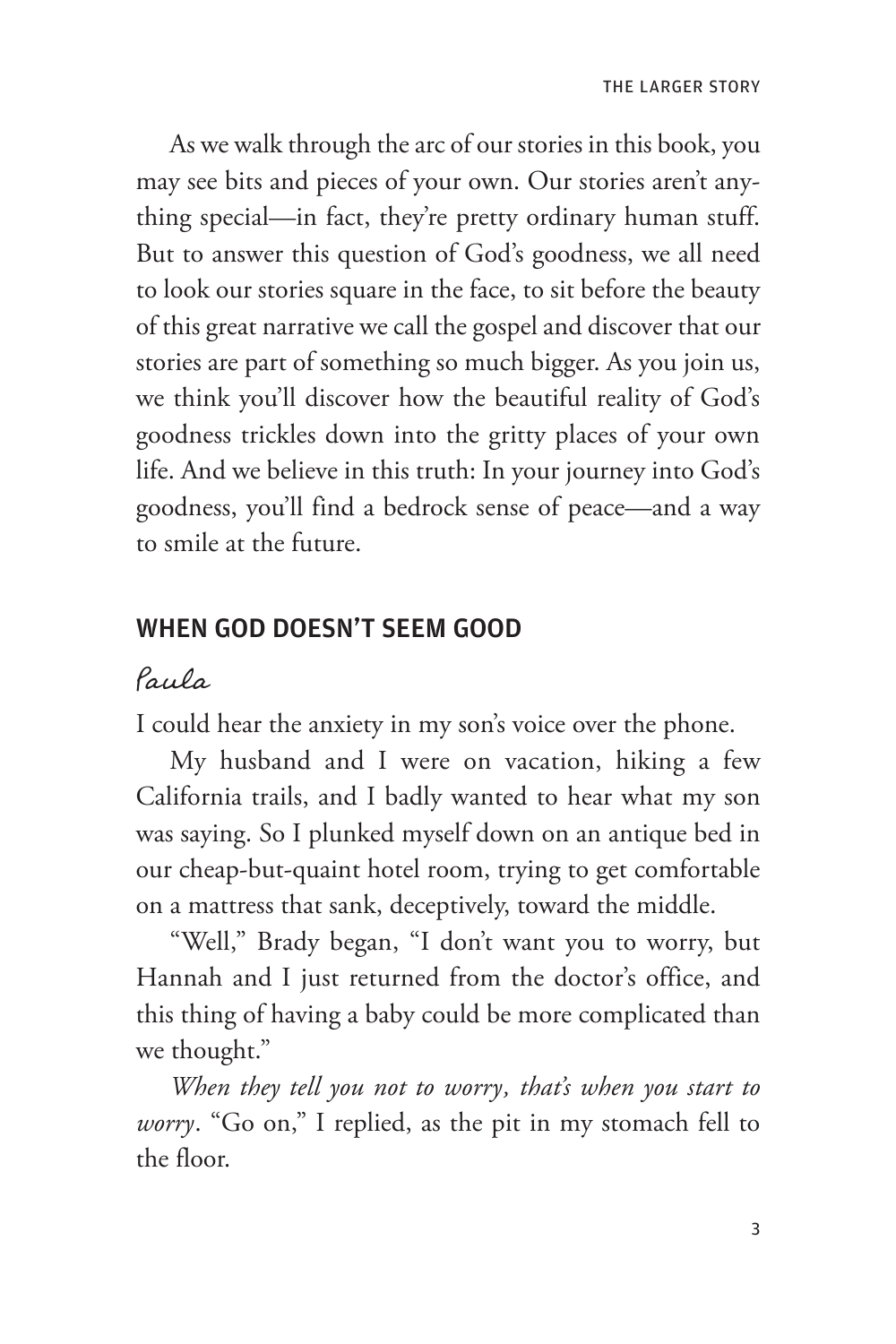As we walk through the arc of our stories in this book, you may see bits and pieces of your own. Our stories aren't anything special—in fact, they're pretty ordinary human stuff. But to answer this question of God's goodness, we all need to look our stories square in the face, to sit before the beauty of this great narrative we call the gospel and discover that our stories are part of something so much bigger. As you join us, we think you'll discover how the beautiful reality of God's goodness trickles down into the gritty places of your own life. And we believe in this truth: In your journey into God's goodness, you'll find a bedrock sense of peace—and a way to smile at the future.

### WHEN GOD DOESN'T SEEM GOOD

### Paula

I could hear the anxiety in my son's voice over the phone.

My husband and I were on vacation, hiking a few California trails, and I badly wanted to hear what my son was saying. So I plunked myself down on an antique bed in our cheap-but-quaint hotel room, trying to get comfortable on a mattress that sank, deceptively, toward the middle.

"Well," Brady began, "I don't want you to worry, but Hannah and I just returned from the doctor's office, and this thing of having a baby could be more complicated than we thought."

*When they tell you not to worry, that's when you start to worry*. "Go on," I replied, as the pit in my stomach fell to the floor.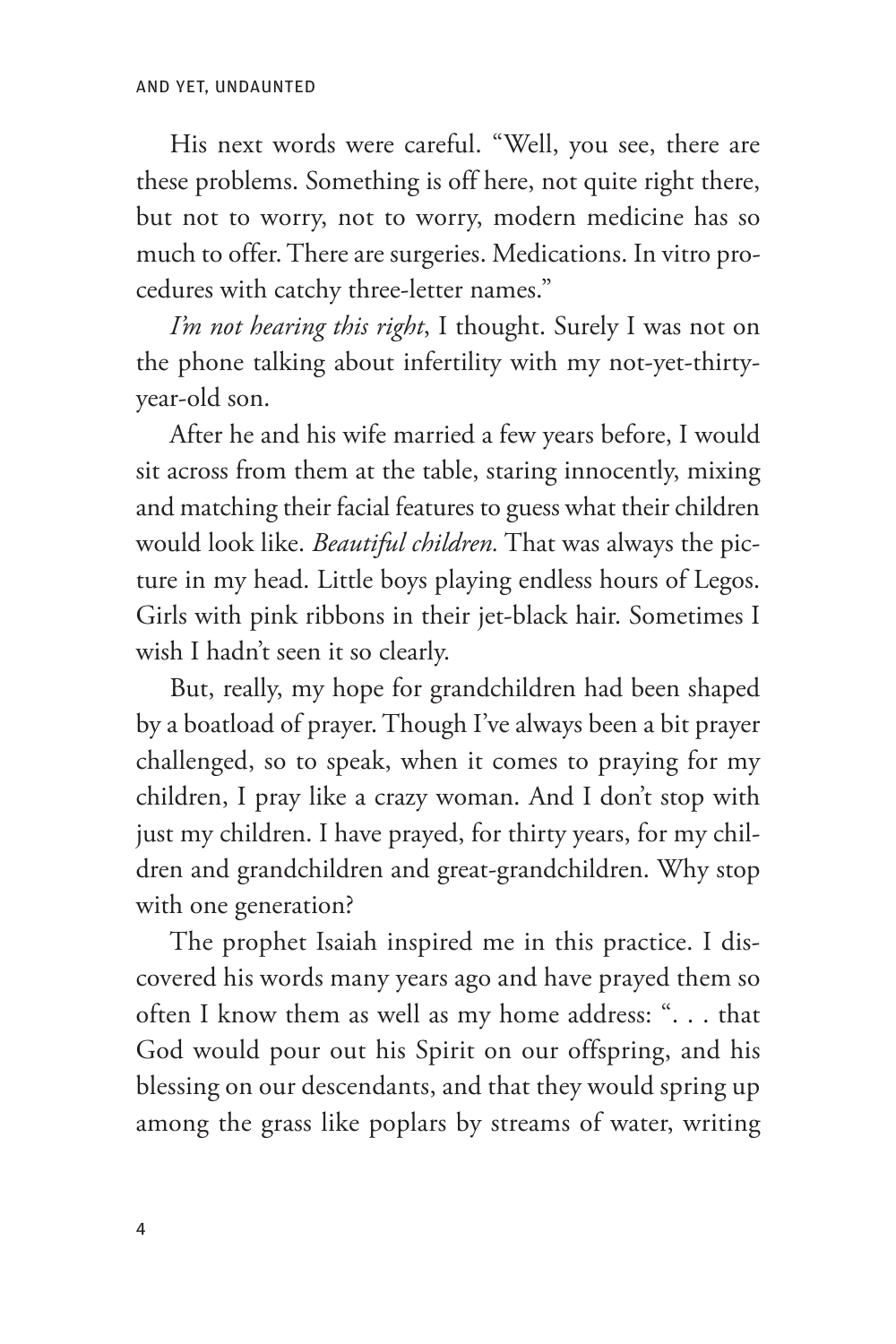His next words were careful. "Well, you see, there are these problems. Something is off here, not quite right there, but not to worry, not to worry, modern medicine has so much to offer. There are surgeries. Medications. In vitro procedures with catchy three-letter names."

*I'm not hearing this right*, I thought. Surely I was not on the phone talking about infertility with my not-yet-thirtyyear-old son.

After he and his wife married a few years before, I would sit across from them at the table, staring innocently, mixing and matching their facial features to guess what their children would look like. *Beautiful children.* That was always the picture in my head. Little boys playing endless hours of Legos. Girls with pink ribbons in their jet-black hair. Sometimes I wish I hadn't seen it so clearly.

But, really, my hope for grandchildren had been shaped by a boatload of prayer. Though I've always been a bit prayer challenged, so to speak, when it comes to praying for my children, I pray like a crazy woman. And I don't stop with just my children. I have prayed, for thirty years, for my children and grandchildren and great-grandchildren. Why stop with one generation?

The prophet Isaiah inspired me in this practice. I discovered his words many years ago and have prayed them so often I know them as well as my home address: ". . . that God would pour out his Spirit on our offspring, and his blessing on our descendants, and that they would spring up among the grass like poplars by streams of water, writing

4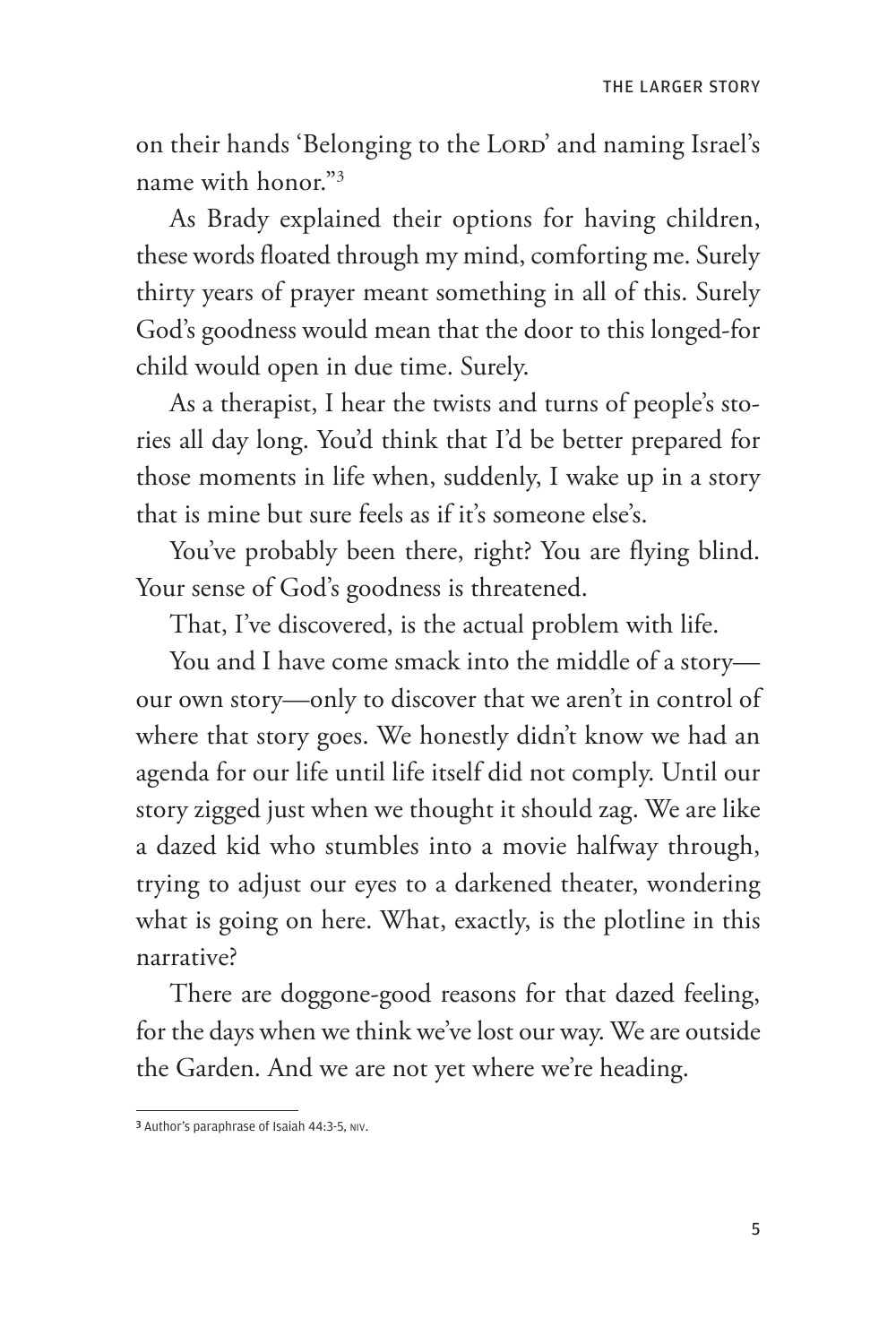on their hands 'Belonging to the LORD' and naming Israel's name with honor."3

As Brady explained their options for having children, these words floated through my mind, comforting me. Surely thirty years of prayer meant something in all of this. Surely God's goodness would mean that the door to this longed-for child would open in due time. Surely.

As a therapist, I hear the twists and turns of people's stories all day long. You'd think that I'd be better prepared for those moments in life when, suddenly, I wake up in a story that is mine but sure feels as if it's someone else's.

You've probably been there, right? You are flying blind. Your sense of God's goodness is threatened.

That, I've discovered, is the actual problem with life.

You and I have come smack into the middle of a story our own story—only to discover that we aren't in control of where that story goes. We honestly didn't know we had an agenda for our life until life itself did not comply. Until our story zigged just when we thought it should zag. We are like a dazed kid who stumbles into a movie halfway through, trying to adjust our eyes to a darkened theater, wondering what is going on here. What, exactly, is the plotline in this narrative?

There are doggone-good reasons for that dazed feeling, for the days when we think we've lost our way. We are outside the Garden. And we are not yet where we're heading.

<sup>3</sup> Author's paraphrase of Isaiah 44:3-5, niv.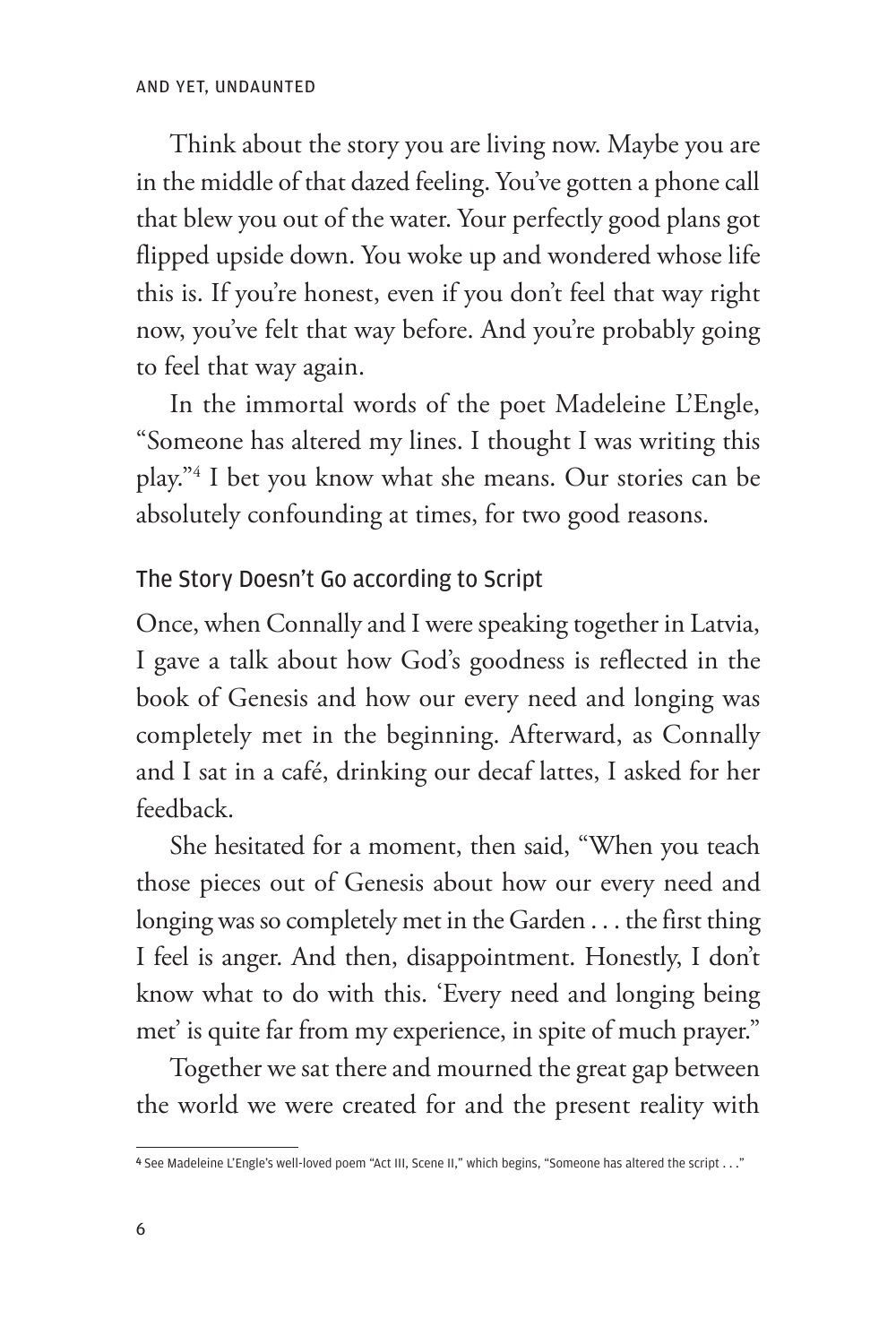Think about the story you are living now. Maybe you are in the middle of that dazed feeling. You've gotten a phone call that blew you out of the water. Your perfectly good plans got flipped upside down. You woke up and wondered whose life this is. If you're honest, even if you don't feel that way right now, you've felt that way before. And you're probably going to feel that way again.

In the immortal words of the poet Madeleine L'Engle, "Someone has altered my lines. I thought I was writing this play."4 I bet you know what she means. Our stories can be absolutely confounding at times, for two good reasons.

### The Story Doesn't Go according to Script

Once, when Connally and I were speaking together in Latvia, I gave a talk about how God's goodness is reflected in the book of Genesis and how our every need and longing was completely met in the beginning. Afterward, as Connally and I sat in a café, drinking our decaf lattes, I asked for her feedback.

She hesitated for a moment, then said, "When you teach those pieces out of Genesis about how our every need and longing was so completely met in the Garden . . . the first thing I feel is anger. And then, disappointment. Honestly, I don't know what to do with this. 'Every need and longing being met' is quite far from my experience, in spite of much prayer."

Together we sat there and mourned the great gap between the world we were created for and the present reality with

<sup>4</sup> See Madeleine L'Engle's well-loved poem "Act III, Scene II," which begins, "Someone has altered the script . . ."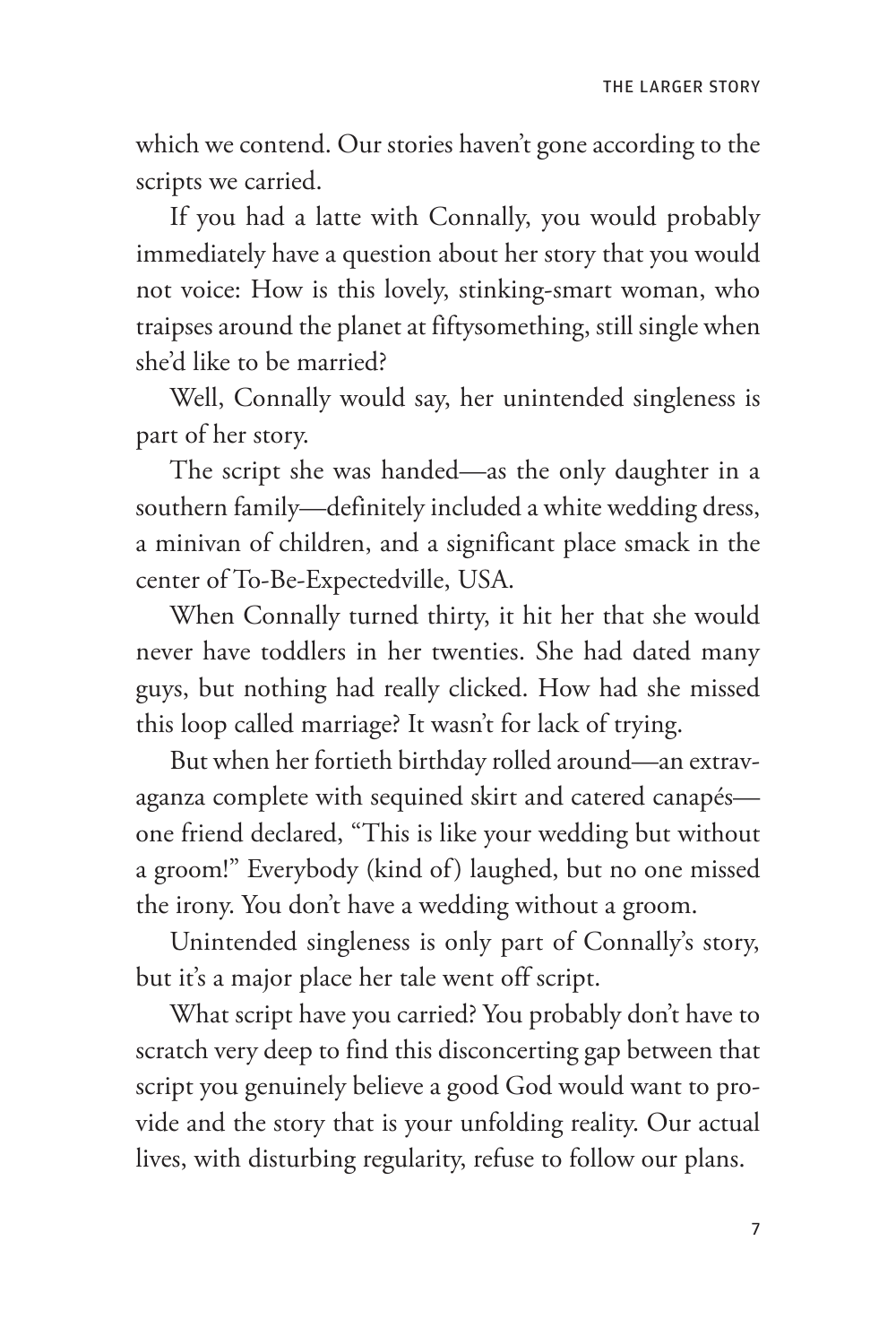which we contend. Our stories haven't gone according to the scripts we carried.

If you had a latte with Connally, you would probably immediately have a question about her story that you would not voice: How is this lovely, stinking-smart woman, who traipses around the planet at fiftysomething, still single when she'd like to be married?

Well, Connally would say, her unintended singleness is part of her story.

The script she was handed—as the only daughter in a southern family—definitely included a white wedding dress, a minivan of children, and a significant place smack in the center of To-Be-Expectedville, USA.

When Connally turned thirty, it hit her that she would never have toddlers in her twenties. She had dated many guys, but nothing had really clicked. How had she missed this loop called marriage? It wasn't for lack of trying.

But when her fortieth birthday rolled around—an extravaganza complete with sequined skirt and catered canapés one friend declared, "This is like your wedding but without a groom!" Everybody (kind of) laughed, but no one missed the irony. You don't have a wedding without a groom.

Unintended singleness is only part of Connally's story, but it's a major place her tale went off script.

What script have you carried? You probably don't have to scratch very deep to find this disconcerting gap between that script you genuinely believe a good God would want to provide and the story that is your unfolding reality. Our actual lives, with disturbing regularity, refuse to follow our plans.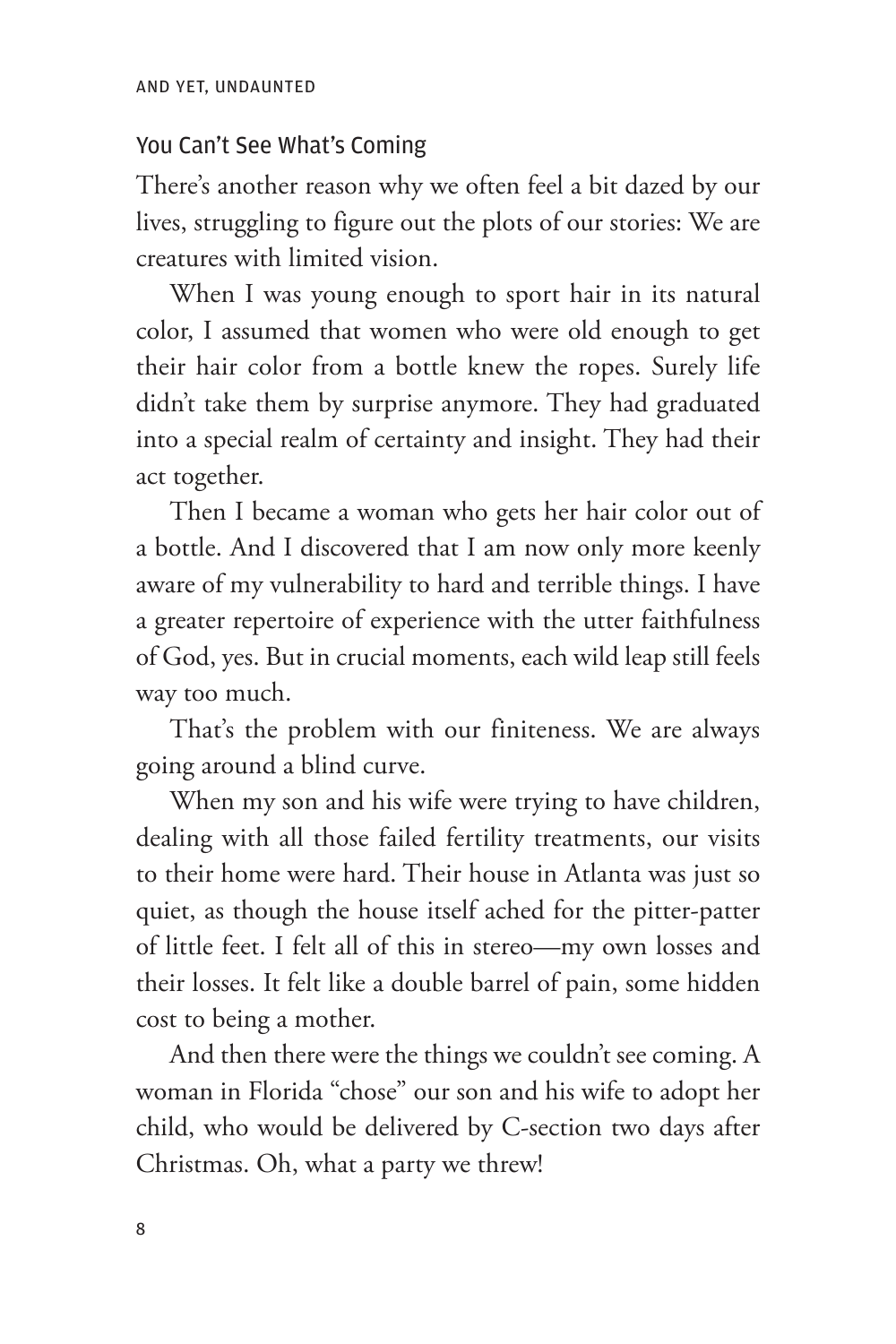### You Can't See What's Coming

There's another reason why we often feel a bit dazed by our lives, struggling to figure out the plots of our stories: We are creatures with limited vision.

When I was young enough to sport hair in its natural color, I assumed that women who were old enough to get their hair color from a bottle knew the ropes. Surely life didn't take them by surprise anymore. They had graduated into a special realm of certainty and insight. They had their act together.

Then I became a woman who gets her hair color out of a bottle. And I discovered that I am now only more keenly aware of my vulnerability to hard and terrible things. I have a greater repertoire of experience with the utter faithfulness of God, yes. But in crucial moments, each wild leap still feels way too much.

That's the problem with our finiteness. We are always going around a blind curve.

When my son and his wife were trying to have children, dealing with all those failed fertility treatments, our visits to their home were hard. Their house in Atlanta was just so quiet, as though the house itself ached for the pitter-patter of little feet. I felt all of this in stereo—my own losses and their losses. It felt like a double barrel of pain, some hidden cost to being a mother.

And then there were the things we couldn't see coming. A woman in Florida "chose" our son and his wife to adopt her child, who would be delivered by C-section two days after Christmas. Oh, what a party we threw!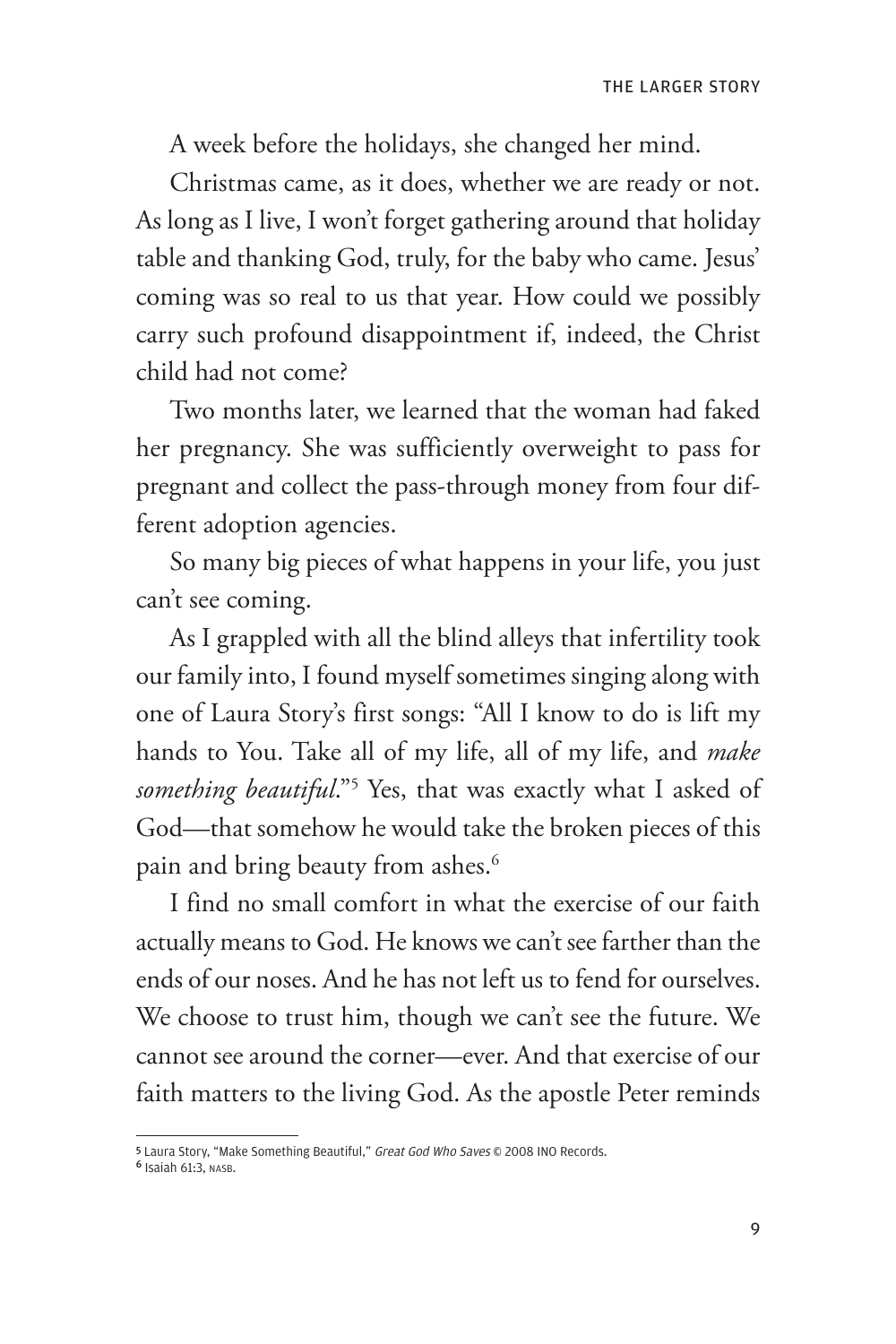A week before the holidays, she changed her mind.

Christmas came, as it does, whether we are ready or not. As long as I live, I won't forget gathering around that holiday table and thanking God, truly, for the baby who came. Jesus' coming was so real to us that year. How could we possibly carry such profound disappointment if, indeed, the Christ child had not come?

Two months later, we learned that the woman had faked her pregnancy. She was sufficiently overweight to pass for pregnant and collect the pass-through money from four different adoption agencies.

So many big pieces of what happens in your life, you just can't see coming.

As I grappled with all the blind alleys that infertility took our family into, I found myself sometimes singing along with one of Laura Story's first songs: "All I know to do is lift my hands to You. Take all of my life, all of my life, and *make something beautiful*."5 Yes, that was exactly what I asked of God—that somehow he would take the broken pieces of this pain and bring beauty from ashes.<sup>6</sup>

I find no small comfort in what the exercise of our faith actually means to God. He knows we can't see farther than the ends of our noses. And he has not left us to fend for ourselves. We choose to trust him, though we can't see the future. We cannot see around the corner—ever. And that exercise of our faith matters to the living God. As the apostle Peter reminds

<sup>5</sup> Laura Story, "Make Something Beautiful," Great God Who Saves © 2008 INO Records.

<sup>6</sup> Isaiah 61:3, nasb.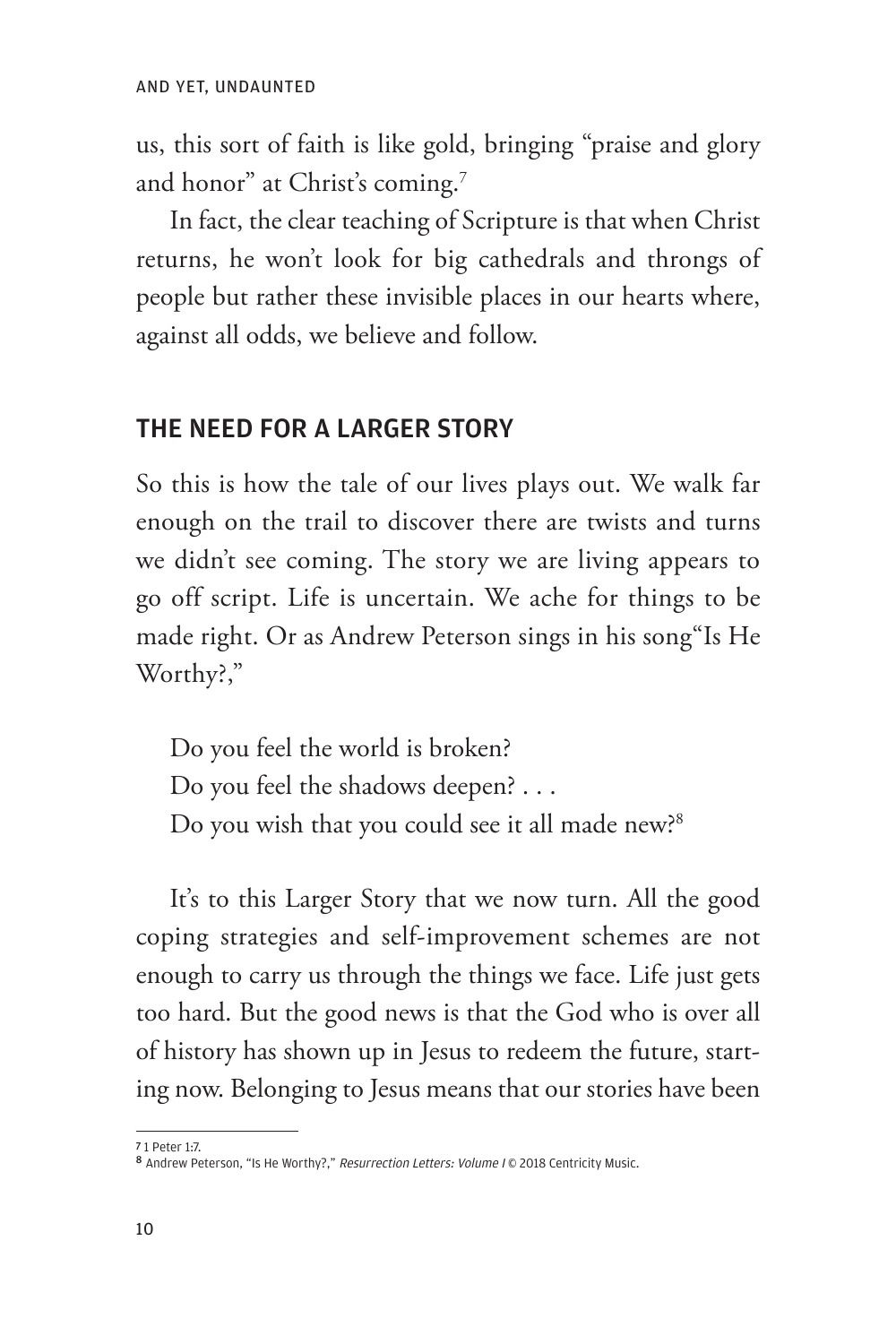us, this sort of faith is like gold, bringing "praise and glory and honor" at Christ's coming.7

In fact, the clear teaching of Scripture is that when Christ returns, he won't look for big cathedrals and throngs of people but rather these invisible places in our hearts where, against all odds, we believe and follow.

#### THE NEED FOR A LARGER STORY

So this is how the tale of our lives plays out. We walk far enough on the trail to discover there are twists and turns we didn't see coming. The story we are living appears to go off script. Life is uncertain. We ache for things to be made right. Or as Andrew Peterson sings in his song"Is He Worthy?,"

Do you feel the world is broken? Do you feel the shadows deepen? . . . Do you wish that you could see it all made new?8

It's to this Larger Story that we now turn. All the good coping strategies and self-improvement schemes are not enough to carry us through the things we face. Life just gets too hard. But the good news is that the God who is over all of history has shown up in Jesus to redeem the future, starting now. Belonging to Jesus means that our stories have been

<sup>7</sup> 1 Peter 1:7.

<sup>8</sup> Andrew Peterson, "Is He Worthy?," Resurrection Letters: Volume I © 2018 Centricity Music.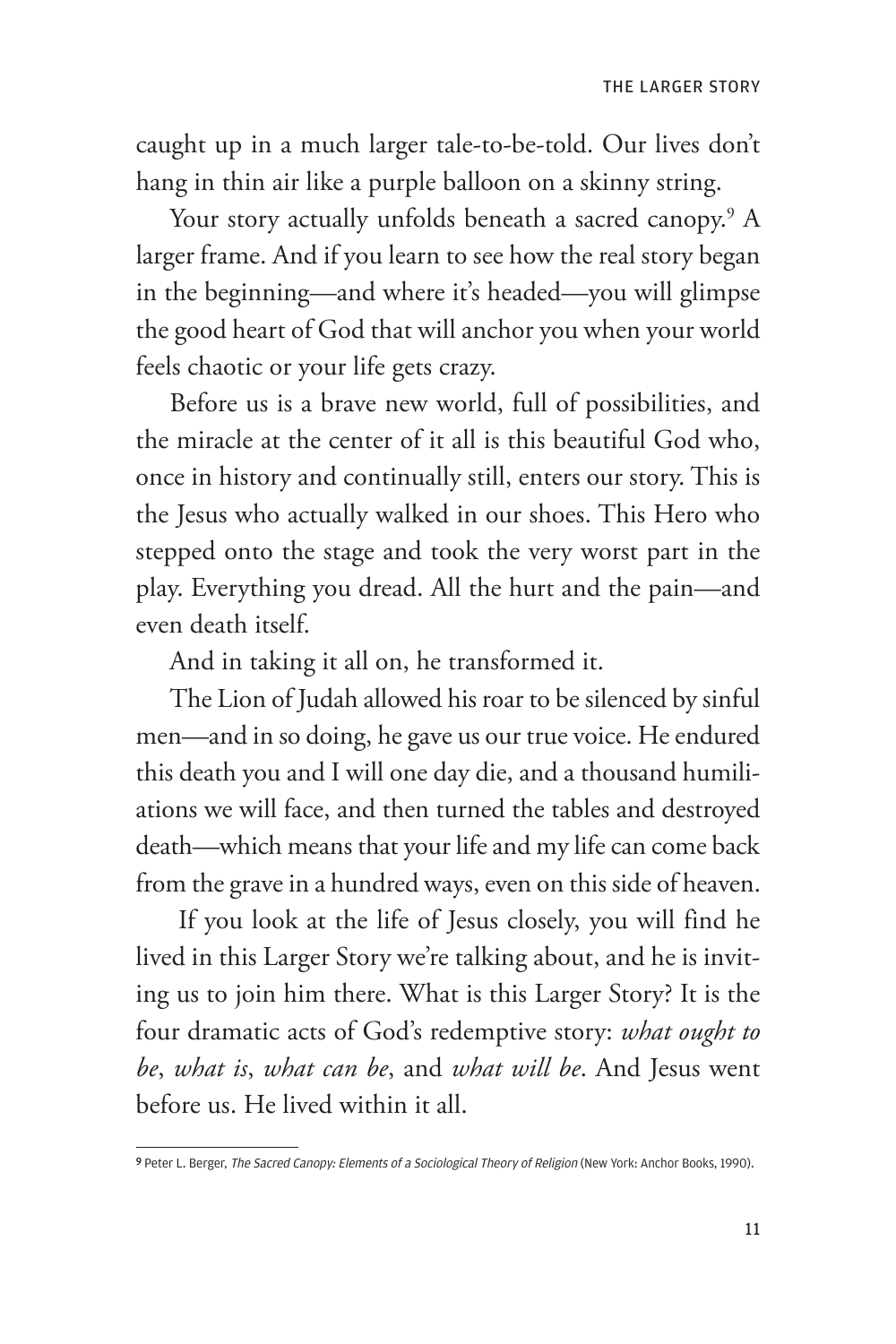caught up in a much larger tale-to-be-told. Our lives don't hang in thin air like a purple balloon on a skinny string.

Your story actually unfolds beneath a sacred canopy.<sup>9</sup> A larger frame. And if you learn to see how the real story began in the beginning—and where it's headed—you will glimpse the good heart of God that will anchor you when your world feels chaotic or your life gets crazy.

Before us is a brave new world, full of possibilities, and the miracle at the center of it all is this beautiful God who, once in history and continually still, enters our story. This is the Jesus who actually walked in our shoes. This Hero who stepped onto the stage and took the very worst part in the play. Everything you dread. All the hurt and the pain—and even death itself.

And in taking it all on, he transformed it.

The Lion of Judah allowed his roar to be silenced by sinful men—and in so doing, he gave us our true voice. He endured this death you and I will one day die, and a thousand humiliations we will face, and then turned the tables and destroyed death—which means that your life and my life can come back from the grave in a hundred ways, even on this side of heaven.

 If you look at the life of Jesus closely, you will find he lived in this Larger Story we're talking about, and he is inviting us to join him there. What is this Larger Story? It is the four dramatic acts of God's redemptive story: *what ought to be*, *what is*, *what can be*, and *what will be*. And Jesus went before us. He lived within it all.

<sup>9</sup> Peter L. Berger, The Sacred Canopy: Elements of a Sociological Theory of Religion (New York: Anchor Books, 1990).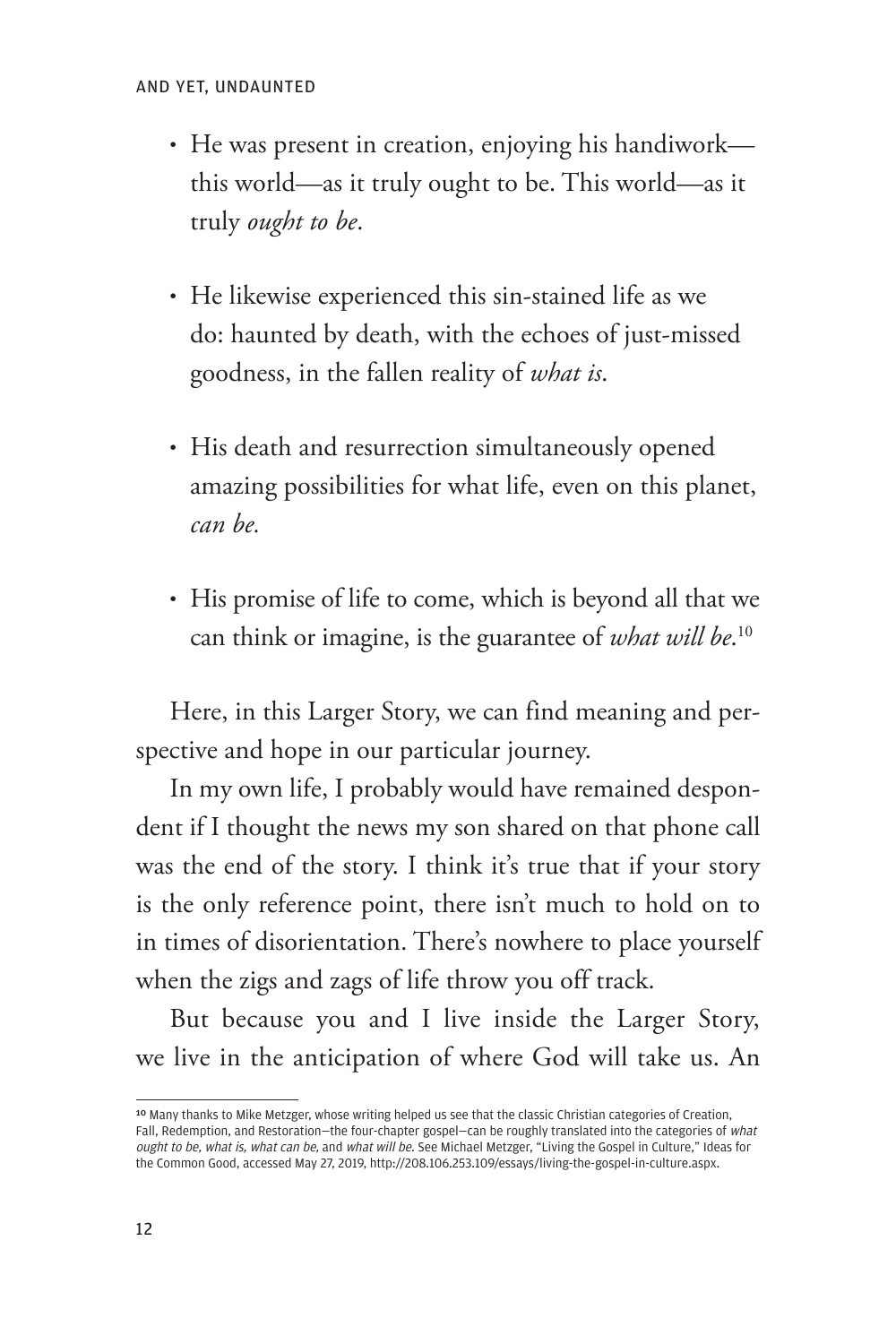- He was present in creation, enjoying his handiwork this world—as it truly ought to be. This world—as it truly *ought to be*.
- He likewise experienced this sin-stained life as we do: haunted by death, with the echoes of just-missed goodness, in the fallen reality of *what is*.
- His death and resurrection simultaneously opened amazing possibilities for what life, even on this planet, *can be.*
- His promise of life to come, which is beyond all that we can think or imagine, is the guarantee of *what will be*. 10

Here, in this Larger Story, we can find meaning and perspective and hope in our particular journey.

In my own life, I probably would have remained despondent if I thought the news my son shared on that phone call was the end of the story. I think it's true that if your story is the only reference point, there isn't much to hold on to in times of disorientation. There's nowhere to place yourself when the zigs and zags of life throw you off track.

But because you and I live inside the Larger Story, we live in the anticipation of where God will take us. An

<sup>10</sup> Many thanks to Mike Metzger, whose writing helped us see that the classic Christian categories of Creation, Fall, Redemption, and Restoration-the four-chapter gospel-can be roughly translated into the categories of what ought to be, what is, what can be, and what will be. See Michael Metzger, "Living the Gospel in Culture," Ideas for the Common Good, accessed May 27, 2019, http://208.106.253.109/essays/living-the-gospel-in-culture.aspx.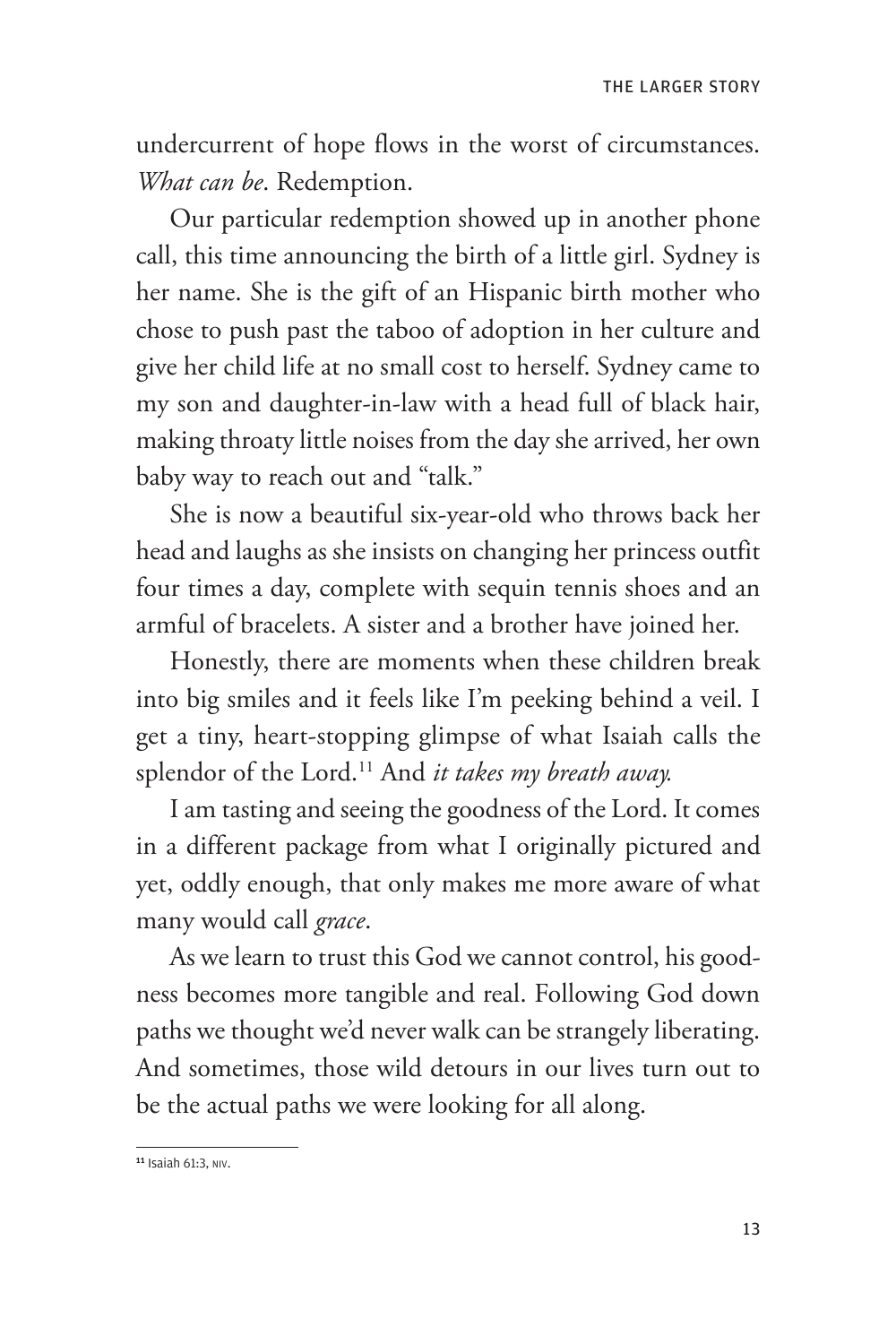undercurrent of hope flows in the worst of circumstances. *What can be*. Redemption.

Our particular redemption showed up in another phone call, this time announcing the birth of a little girl. Sydney is her name. She is the gift of an Hispanic birth mother who chose to push past the taboo of adoption in her culture and give her child life at no small cost to herself. Sydney came to my son and daughter-in-law with a head full of black hair, making throaty little noises from the day she arrived, her own baby way to reach out and "talk."

She is now a beautiful six-year-old who throws back her head and laughs as she insists on changing her princess outfit four times a day, complete with sequin tennis shoes and an armful of bracelets. A sister and a brother have joined her.

Honestly, there are moments when these children break into big smiles and it feels like I'm peeking behind a veil. I get a tiny, heart-stopping glimpse of what Isaiah calls the splendor of the Lord.11 And *it takes my breath away.*

I am tasting and seeing the goodness of the Lord. It comes in a different package from what I originally pictured and yet, oddly enough, that only makes me more aware of what many would call *grace*.

As we learn to trust this God we cannot control, his goodness becomes more tangible and real. Following God down paths we thought we'd never walk can be strangely liberating. And sometimes, those wild detours in our lives turn out to be the actual paths we were looking for all along.

 $11$  Isaiah 61 $\cdot$ 3, niv.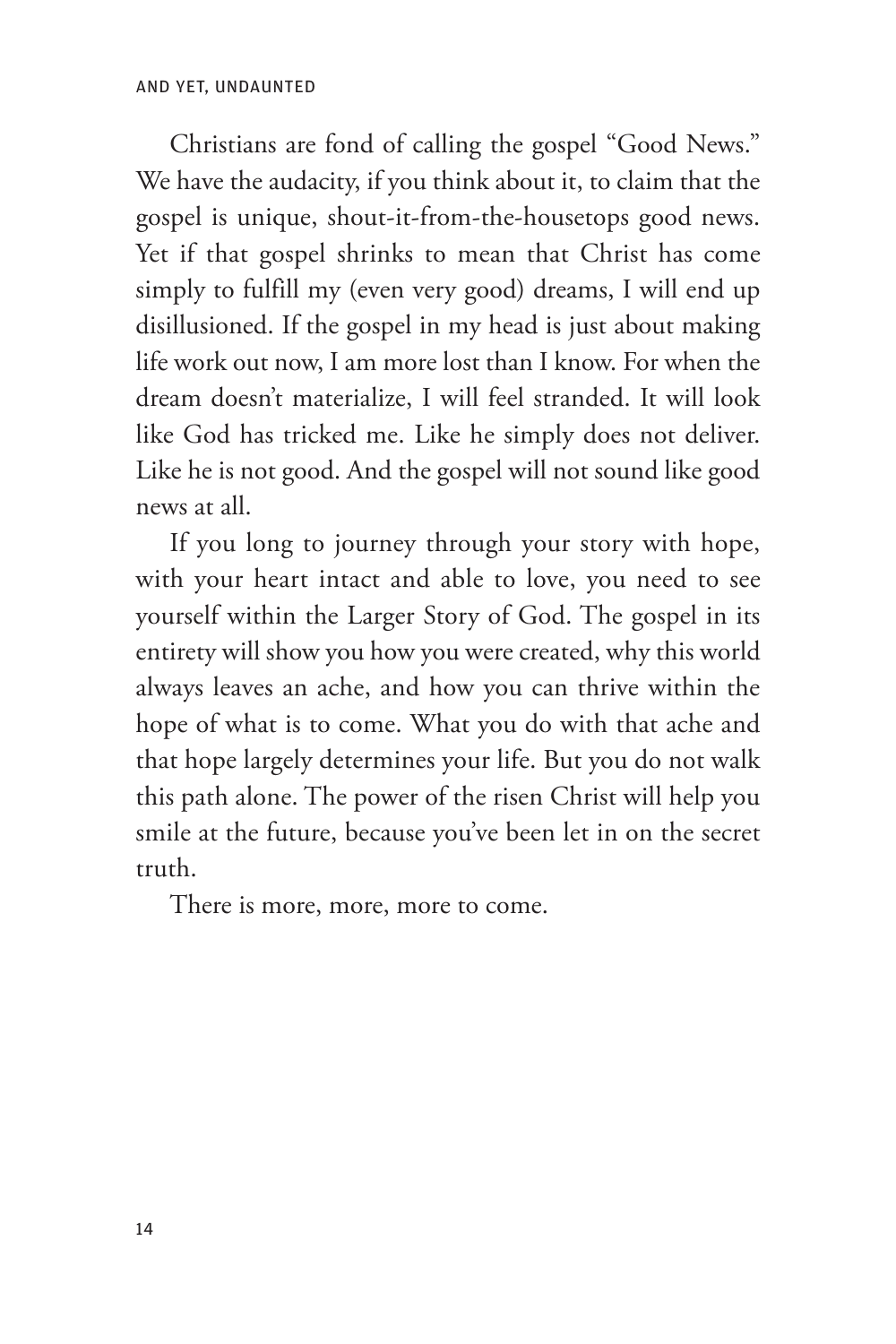Christians are fond of calling the gospel "Good News." We have the audacity, if you think about it, to claim that the gospel is unique, shout-it-from-the-housetops good news. Yet if that gospel shrinks to mean that Christ has come simply to fulfill my (even very good) dreams, I will end up disillusioned. If the gospel in my head is just about making life work out now, I am more lost than I know. For when the dream doesn't materialize, I will feel stranded. It will look like God has tricked me. Like he simply does not deliver. Like he is not good. And the gospel will not sound like good news at all.

If you long to journey through your story with hope, with your heart intact and able to love, you need to see yourself within the Larger Story of God. The gospel in its entirety will show you how you were created, why this world always leaves an ache, and how you can thrive within the hope of what is to come. What you do with that ache and that hope largely determines your life. But you do not walk this path alone. The power of the risen Christ will help you smile at the future, because you've been let in on the secret truth.

There is more, more, more to come.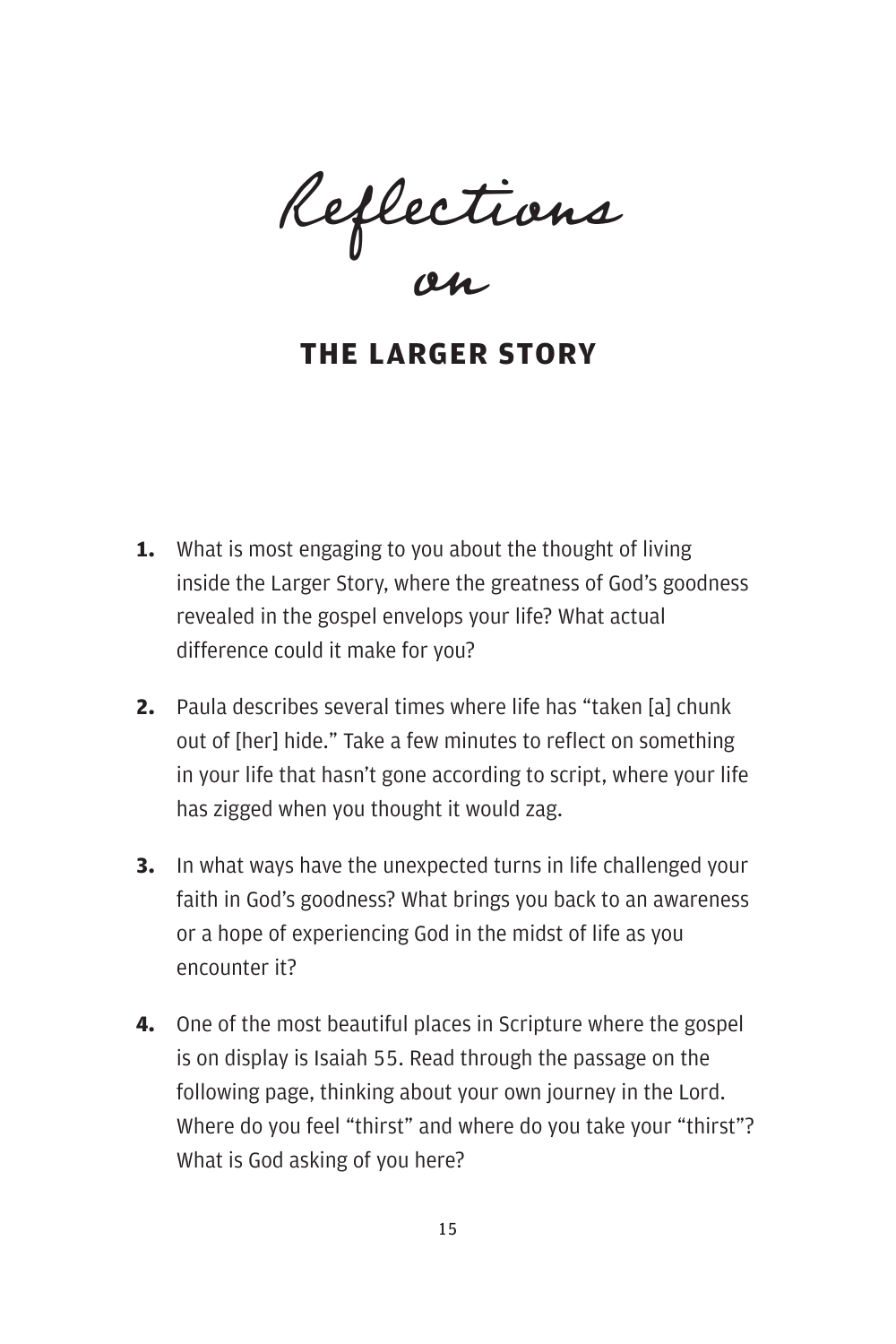<span id="page-26-0"></span>Reflections on

## **THE LARGER STORY**

- **1.** What is most engaging to you about the thought of living inside the Larger Story, where the greatness of God's goodness revealed in the gospel envelops your life? What actual difference could it make for you?
- **2.** Paula describes several times where life has "taken [a] chunk out of [her] hide." Take a few minutes to reflect on something in your life that hasn't gone according to script, where your life has zigged when you thought it would zag.
- **3.** In what ways have the unexpected turns in life challenged your faith in God's goodness? What brings you back to an awareness or a hope of experiencing God in the midst of life as you encounter it?
- **4.** One of the most beautiful places in Scripture where the gospel is on display is Isaiah 55. Read through the passage on the following page, thinking about your own journey in the Lord. Where do you feel "thirst" and where do you take your "thirst"? What is God asking of you here?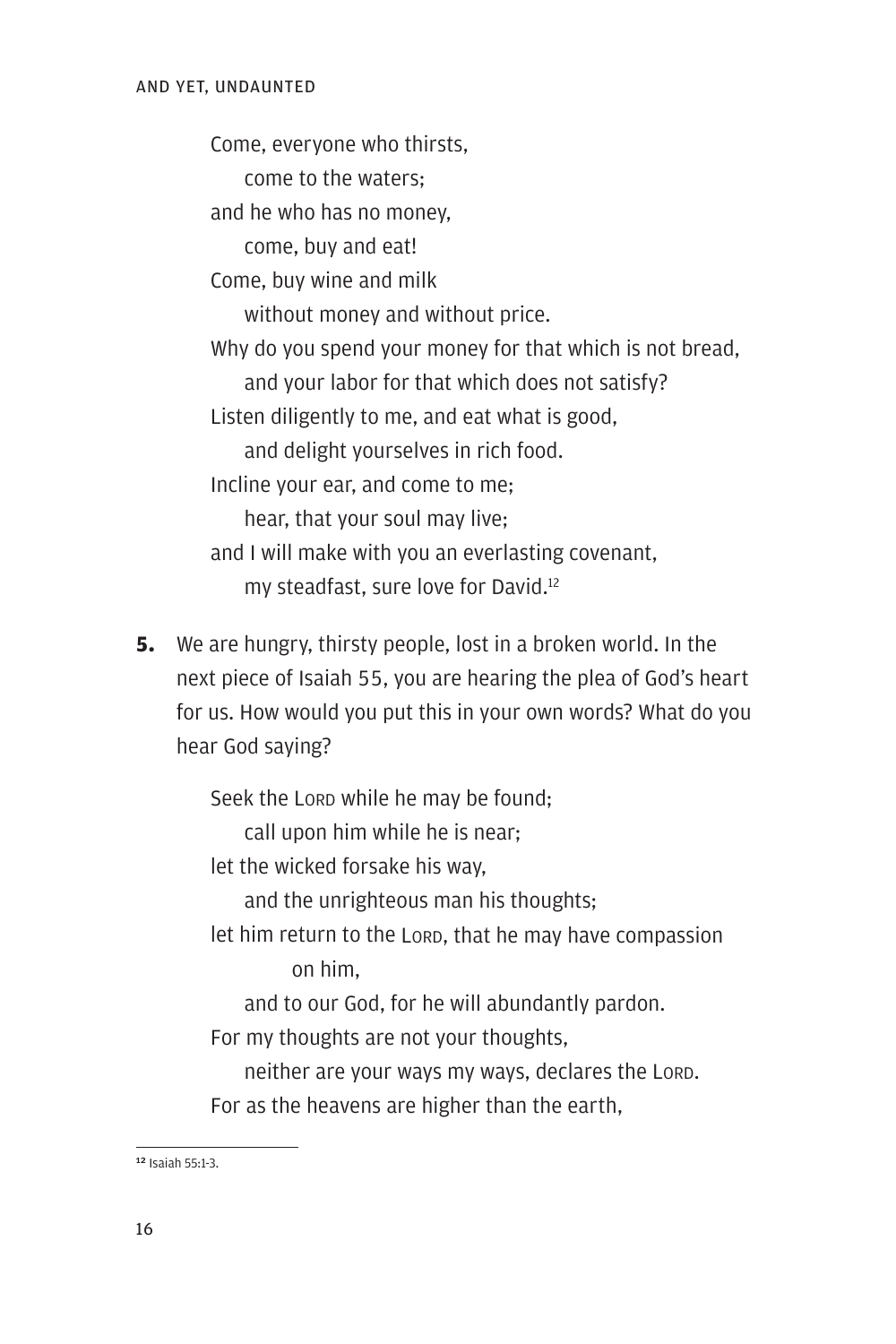Come, everyone who thirsts, come to the waters; and he who has no money, come, buy and eat! Come, buy wine and milk without money and without price. Why do you spend your money for that which is not bread, and your labor for that which does not satisfy? Listen diligently to me, and eat what is good, and delight yourselves in rich food. Incline your ear, and come to me; hear, that your soul may live; and I will make with you an everlasting covenant, my steadfast, sure love for David.<sup>12</sup>

**5.** We are hungry, thirsty people, lost in a broken world. In the next piece of Isaiah 55, you are hearing the plea of God's heart for us. How would you put this in your own words? What do you hear God saying?

Seek the Lorp while he may be found:

call upon him while he is near;

let the wicked forsake his way,

and the unrighteous man his thoughts;

let him return to the Lorp, that he may have compassion on him,

and to our God, for he will abundantly pardon.

For my thoughts are not your thoughts,

neither are your ways my ways, declares the Lord. For as the heavens are higher than the earth,

<sup>12</sup> Isaiah 55:1-3.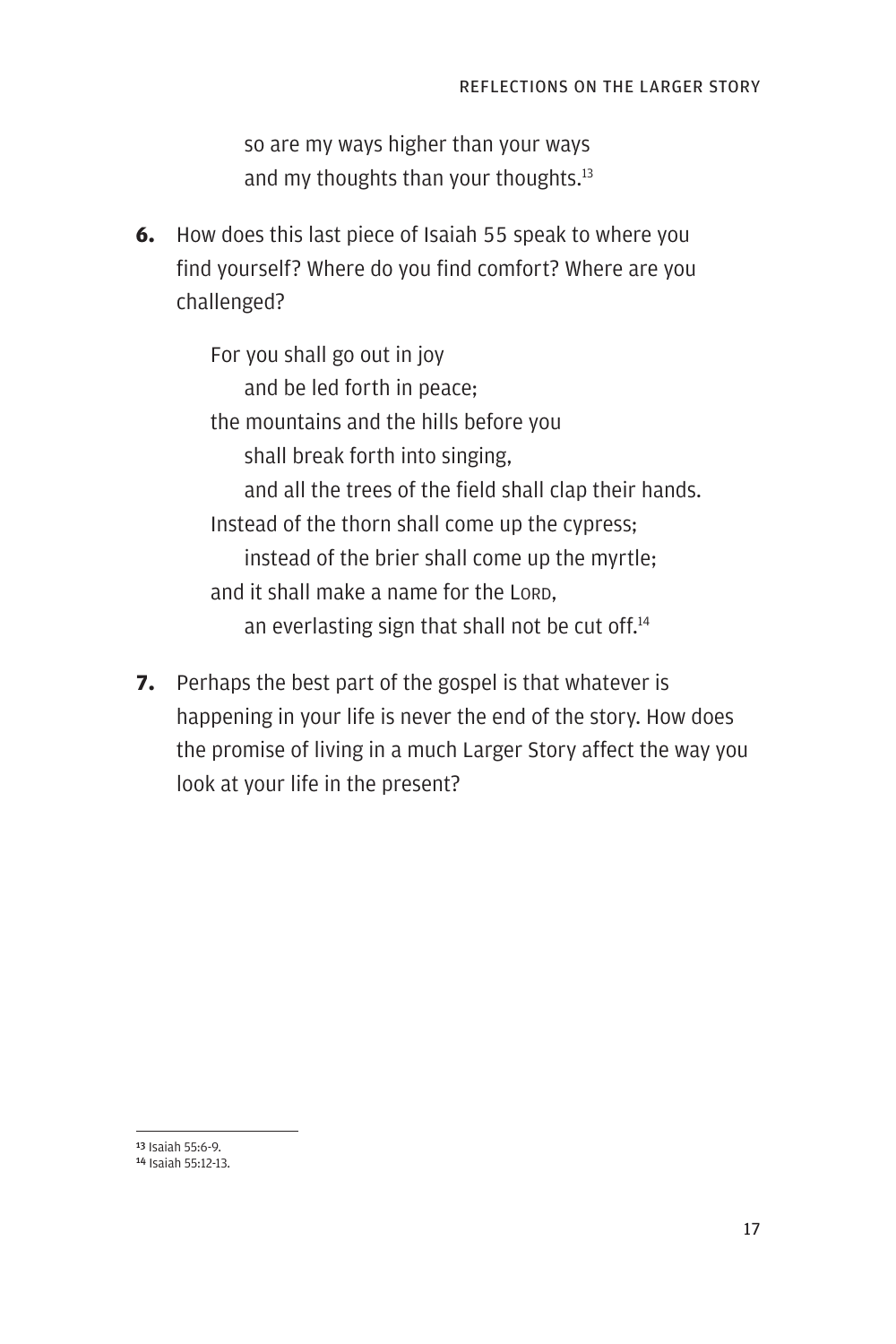so are my ways higher than your ways and my thoughts than your thoughts.<sup>13</sup>

**6.** How does this last piece of Isaiah 55 speak to where you find yourself? Where do you find comfort? Where are you challenged?

> For you shall go out in joy and be led forth in peace; the mountains and the hills before you shall break forth into singing, and all the trees of the field shall clap their hands. Instead of the thorn shall come up the cypress; instead of the brier shall come up the myrtle; and it shall make a name for the Lord. an everlasting sign that shall not be cut off.<sup>14</sup>

**7.** Perhaps the best part of the gospel is that whatever is happening in your life is never the end of the story. How does the promise of living in a much Larger Story affect the way you look at your life in the present?

<sup>13</sup> Isaiah 55:6-9.

<sup>14</sup> Isaiah 55:12-13.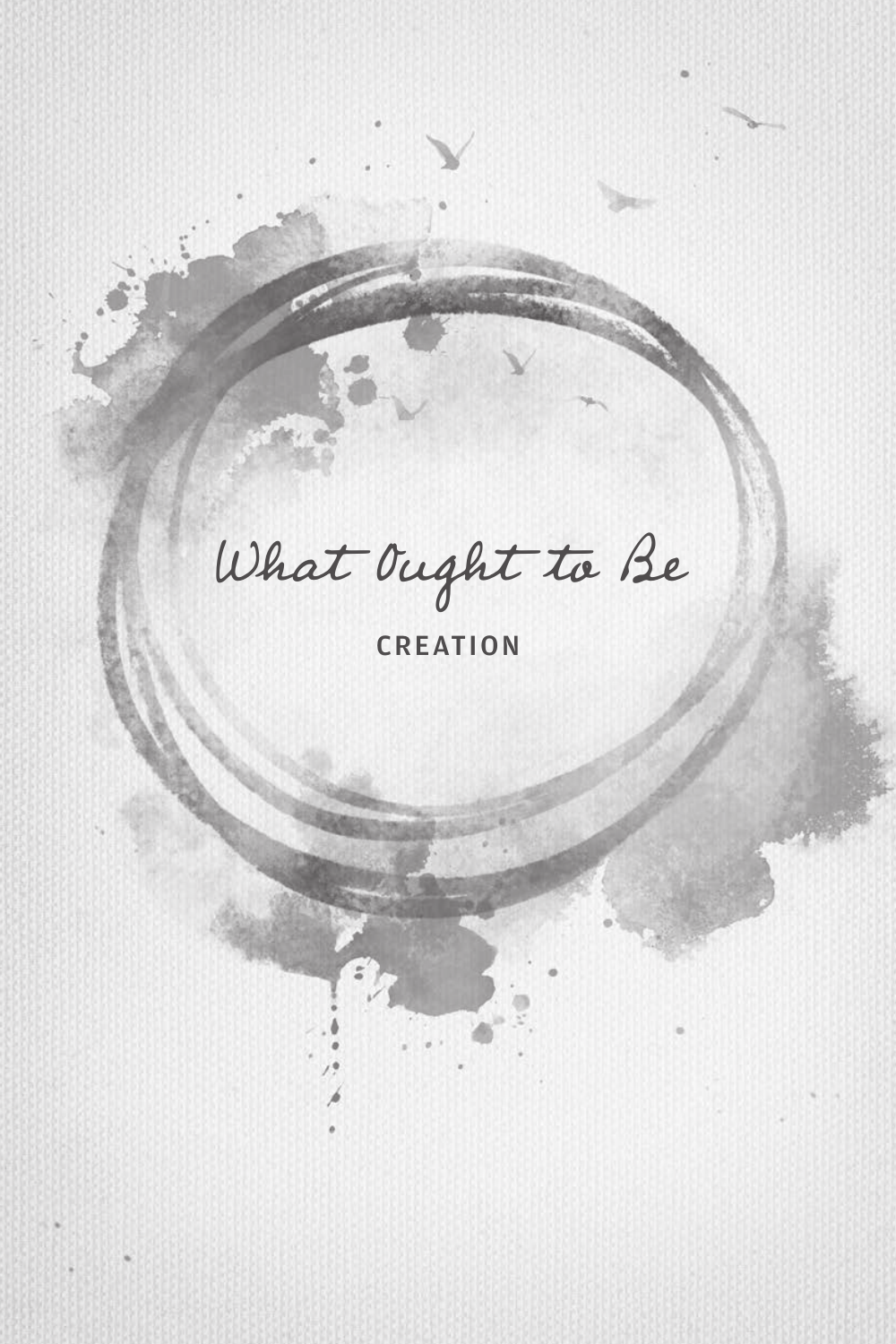<span id="page-30-0"></span>What Ought to Be

**CREATION**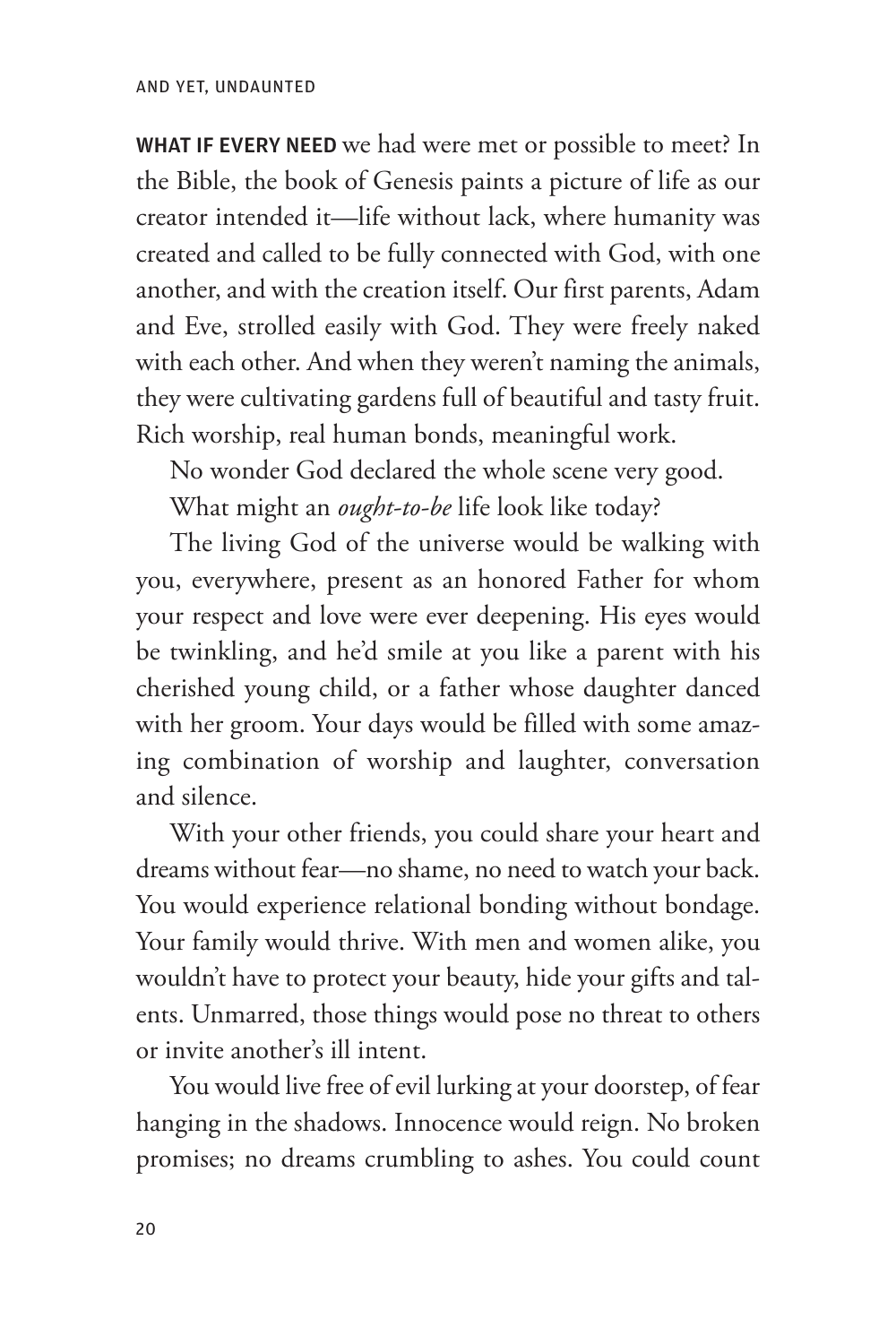WHAT IF EVERY NEED we had were met or possible to meet? In the Bible, the book of Genesis paints a picture of life as our creator intended it—life without lack, where humanity was created and called to be fully connected with God, with one another, and with the creation itself. Our first parents, Adam and Eve, strolled easily with God. They were freely naked with each other. And when they weren't naming the animals, they were cultivating gardens full of beautiful and tasty fruit. Rich worship, real human bonds, meaningful work.

No wonder God declared the whole scene very good.

What might an *ought-to-be* life look like today?

The living God of the universe would be walking with you, everywhere, present as an honored Father for whom your respect and love were ever deepening. His eyes would be twinkling, and he'd smile at you like a parent with his cherished young child, or a father whose daughter danced with her groom. Your days would be filled with some amazing combination of worship and laughter, conversation and silence.

With your other friends, you could share your heart and dreams without fear—no shame, no need to watch your back. You would experience relational bonding without bondage. Your family would thrive. With men and women alike, you wouldn't have to protect your beauty, hide your gifts and talents. Unmarred, those things would pose no threat to others or invite another's ill intent.

You would live free of evil lurking at your doorstep, of fear hanging in the shadows. Innocence would reign. No broken promises; no dreams crumbling to ashes. You could count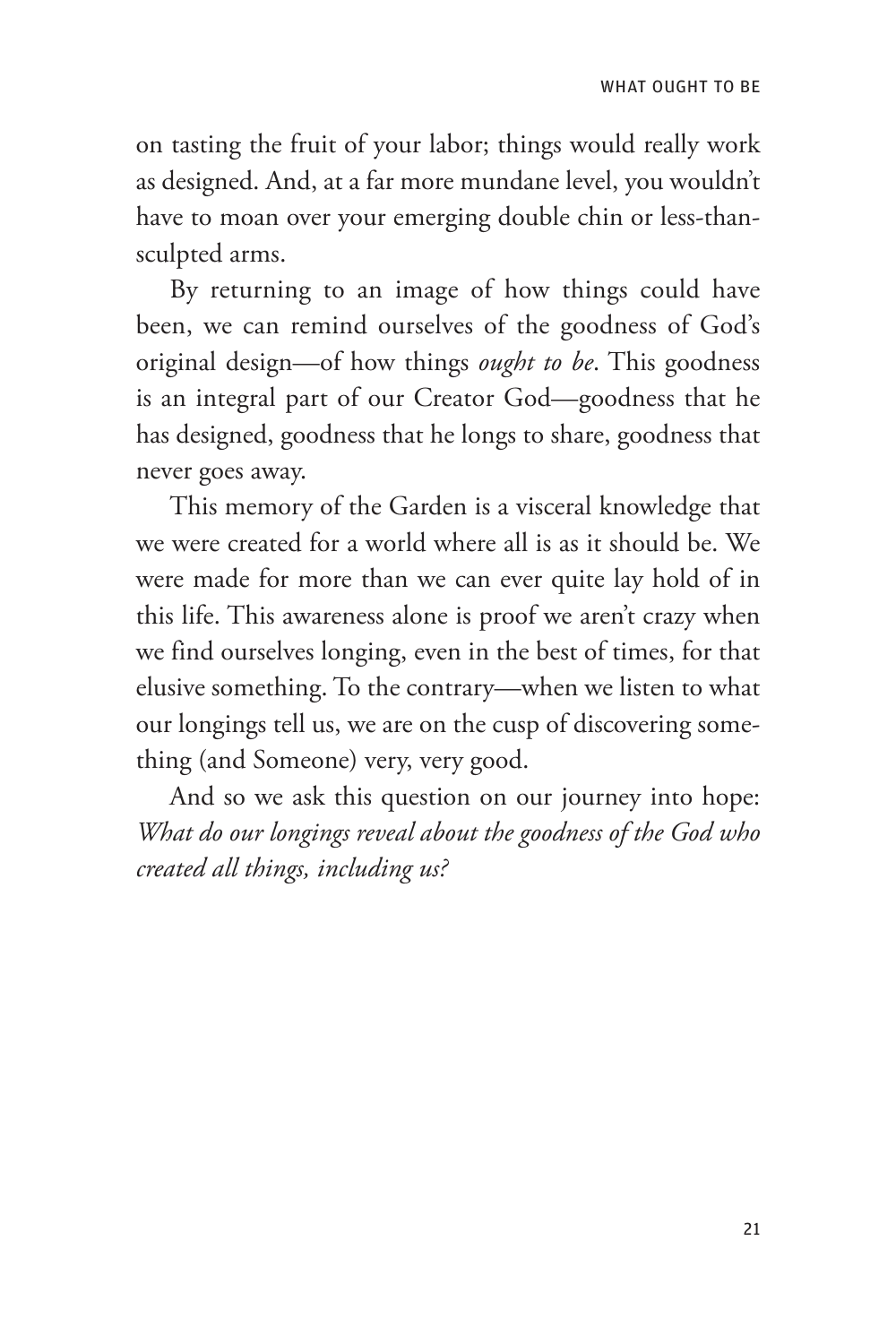on tasting the fruit of your labor; things would really work as designed. And, at a far more mundane level, you wouldn't have to moan over your emerging double chin or less-thansculpted arms.

By returning to an image of how things could have been, we can remind ourselves of the goodness of God's original design—of how things *ought to be*. This goodness is an integral part of our Creator God—goodness that he has designed, goodness that he longs to share, goodness that never goes away.

This memory of the Garden is a visceral knowledge that we were created for a world where all is as it should be. We were made for more than we can ever quite lay hold of in this life. This awareness alone is proof we aren't crazy when we find ourselves longing, even in the best of times, for that elusive something. To the contrary—when we listen to what our longings tell us, we are on the cusp of discovering something (and Someone) very, very good.

And so we ask this question on our journey into hope: *What do our longings reveal about the goodness of the God who created all things, including us?*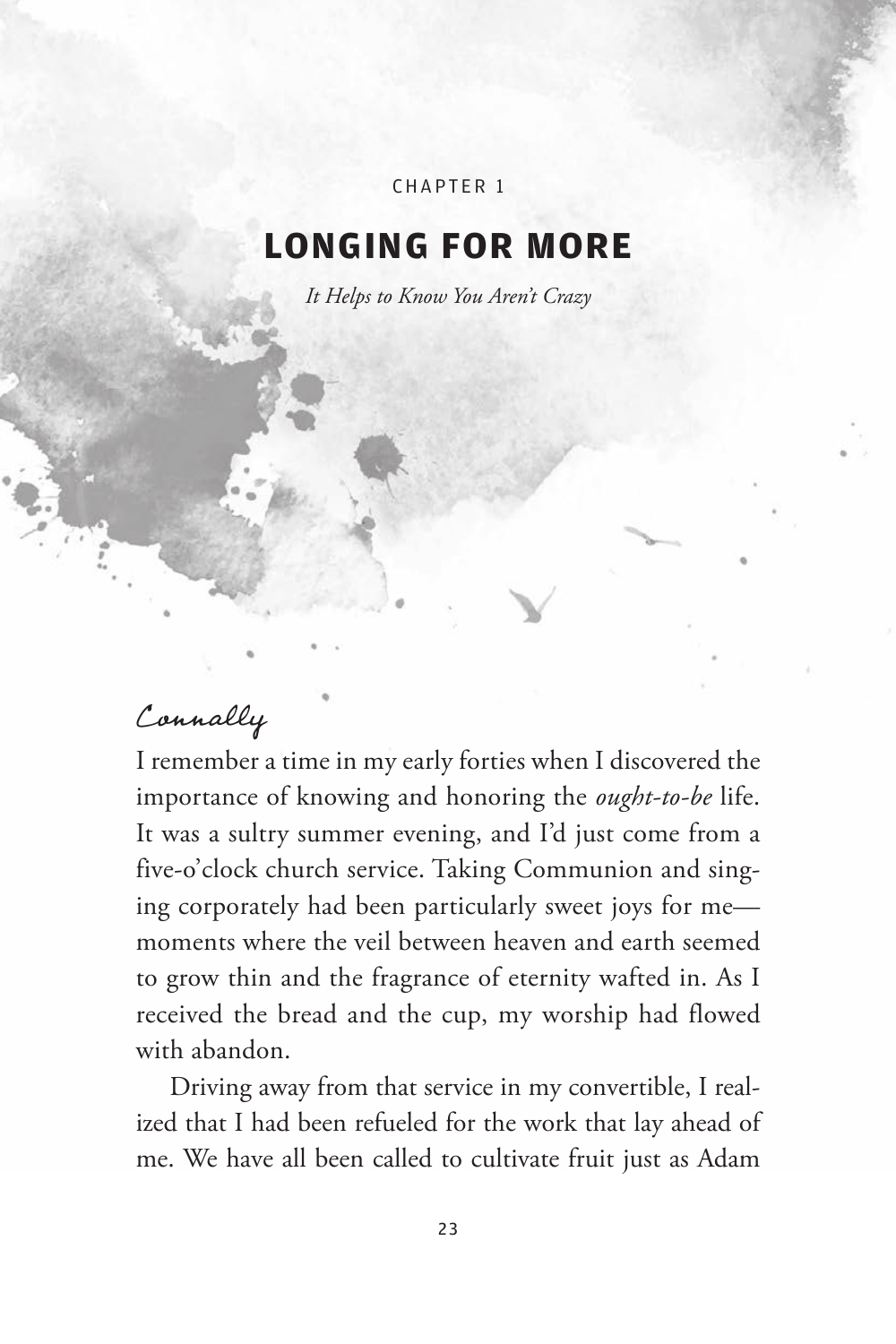#### CHAPTER 1

# <span id="page-34-0"></span>**LONGING FOR MORE**

*It Helps to Know You Aren't Crazy*

## Connally

I remember a time in my early forties when I discovered the importance of knowing and honoring the *ought-to-be* life. It was a sultry summer evening, and I'd just come from a five-o'clock church service. Taking Communion and singing corporately had been particularly sweet joys for me moments where the veil between heaven and earth seemed to grow thin and the fragrance of eternity wafted in. As I received the bread and the cup, my worship had flowed with abandon.

Driving away from that service in my convertible, I realized that I had been refueled for the work that lay ahead of me. We have all been called to cultivate fruit just as Adam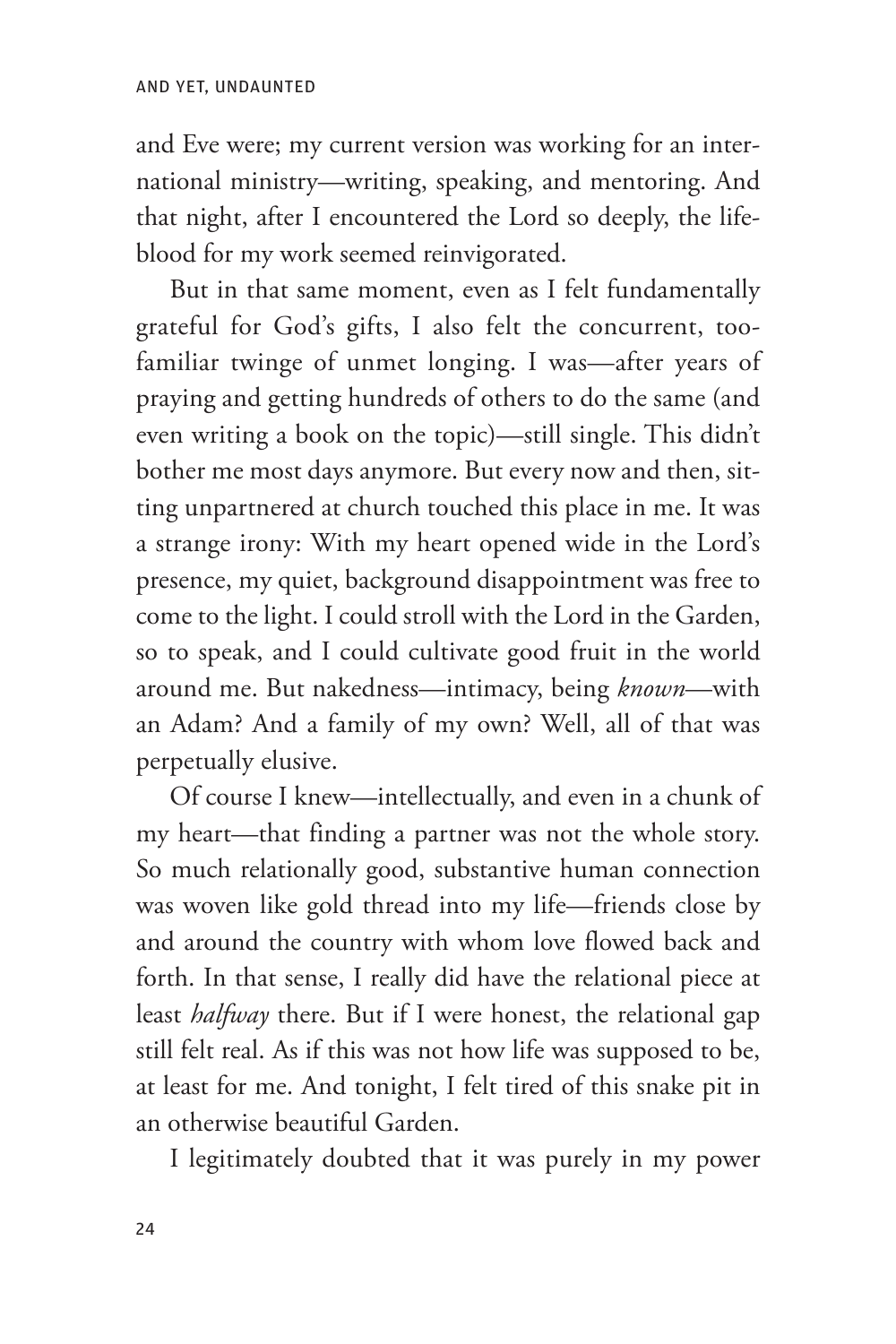and Eve were; my current version was working for an international ministry—writing, speaking, and mentoring. And that night, after I encountered the Lord so deeply, the lifeblood for my work seemed reinvigorated.

But in that same moment, even as I felt fundamentally grateful for God's gifts, I also felt the concurrent, toofamiliar twinge of unmet longing. I was—after years of praying and getting hundreds of others to do the same (and even writing a book on the topic)—still single. This didn't bother me most days anymore. But every now and then, sitting unpartnered at church touched this place in me. It was a strange irony: With my heart opened wide in the Lord's presence, my quiet, background disappointment was free to come to the light. I could stroll with the Lord in the Garden, so to speak, and I could cultivate good fruit in the world around me. But nakedness—intimacy, being *known*—with an Adam? And a family of my own? Well, all of that was perpetually elusive.

Of course I knew—intellectually, and even in a chunk of my heart—that finding a partner was not the whole story. So much relationally good, substantive human connection was woven like gold thread into my life—friends close by and around the country with whom love flowed back and forth. In that sense, I really did have the relational piece at least *halfway* there. But if I were honest, the relational gap still felt real. As if this was not how life was supposed to be, at least for me. And tonight, I felt tired of this snake pit in an otherwise beautiful Garden.

I legitimately doubted that it was purely in my power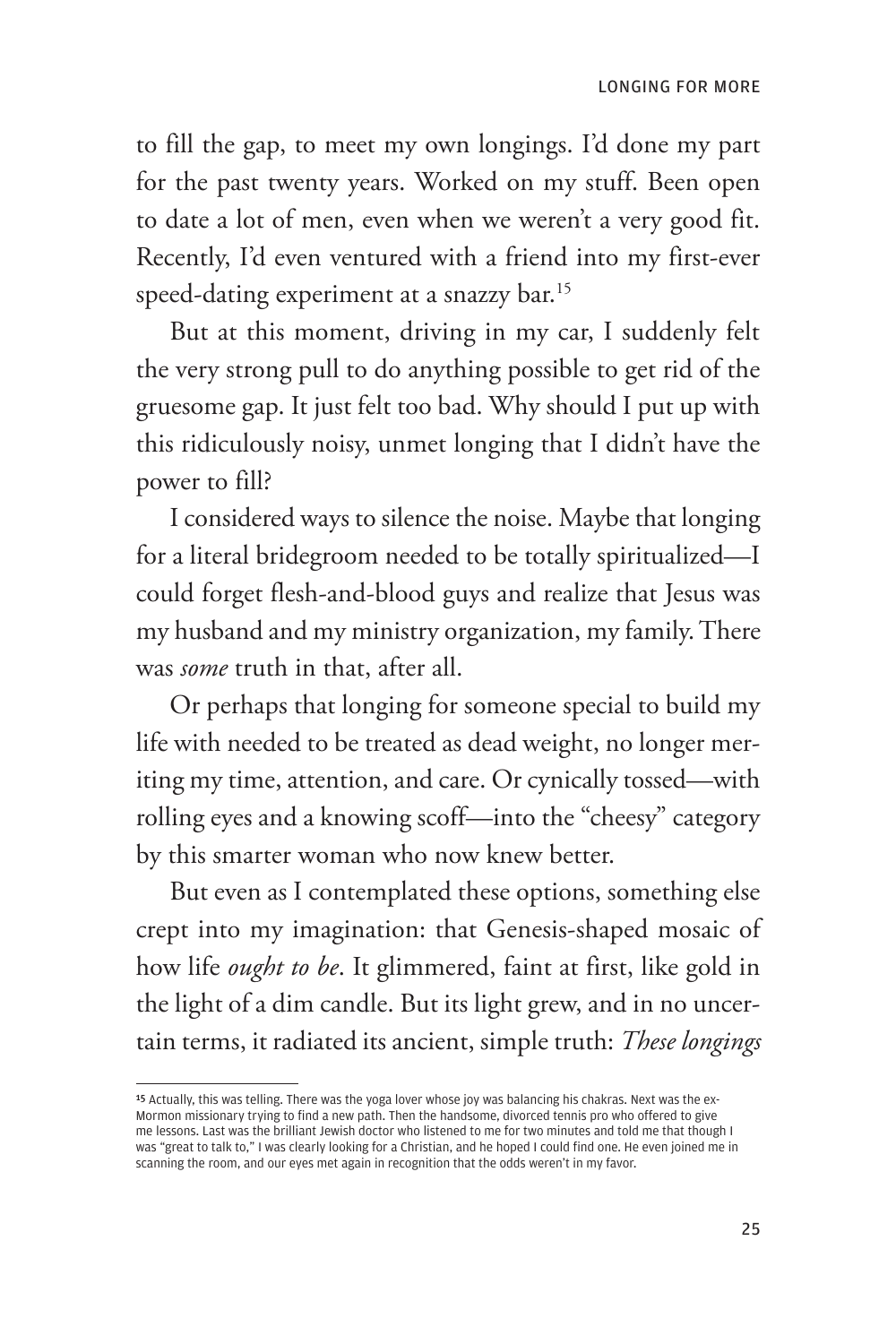to fill the gap, to meet my own longings. I'd done my part for the past twenty years. Worked on my stuff. Been open to date a lot of men, even when we weren't a very good fit. Recently, I'd even ventured with a friend into my first-ever speed-dating experiment at a snazzy bar.<sup>15</sup>

But at this moment, driving in my car, I suddenly felt the very strong pull to do anything possible to get rid of the gruesome gap. It just felt too bad. Why should I put up with this ridiculously noisy, unmet longing that I didn't have the power to fill?

I considered ways to silence the noise. Maybe that longing for a literal bridegroom needed to be totally spiritualized—I could forget flesh-and-blood guys and realize that Jesus was my husband and my ministry organization, my family. There was *some* truth in that, after all.

Or perhaps that longing for someone special to build my life with needed to be treated as dead weight, no longer meriting my time, attention, and care. Or cynically tossed—with rolling eyes and a knowing scoff—into the "cheesy" category by this smarter woman who now knew better.

But even as I contemplated these options, something else crept into my imagination: that Genesis-shaped mosaic of how life *ought to be*. It glimmered, faint at first, like gold in the light of a dim candle. But its light grew, and in no uncertain terms, it radiated its ancient, simple truth: *These longings* 

<sup>15</sup> Actually, this was telling. There was the yoga lover whose joy was balancing his chakras. Next was the ex-Mormon missionary trying to find a new path. Then the handsome, divorced tennis pro who offered to give me lessons. Last was the brilliant Jewish doctor who listened to me for two minutes and told me that though I was "great to talk to," I was clearly looking for a Christian, and he hoped I could find one. He even joined me in scanning the room, and our eyes met again in recognition that the odds weren't in my favor.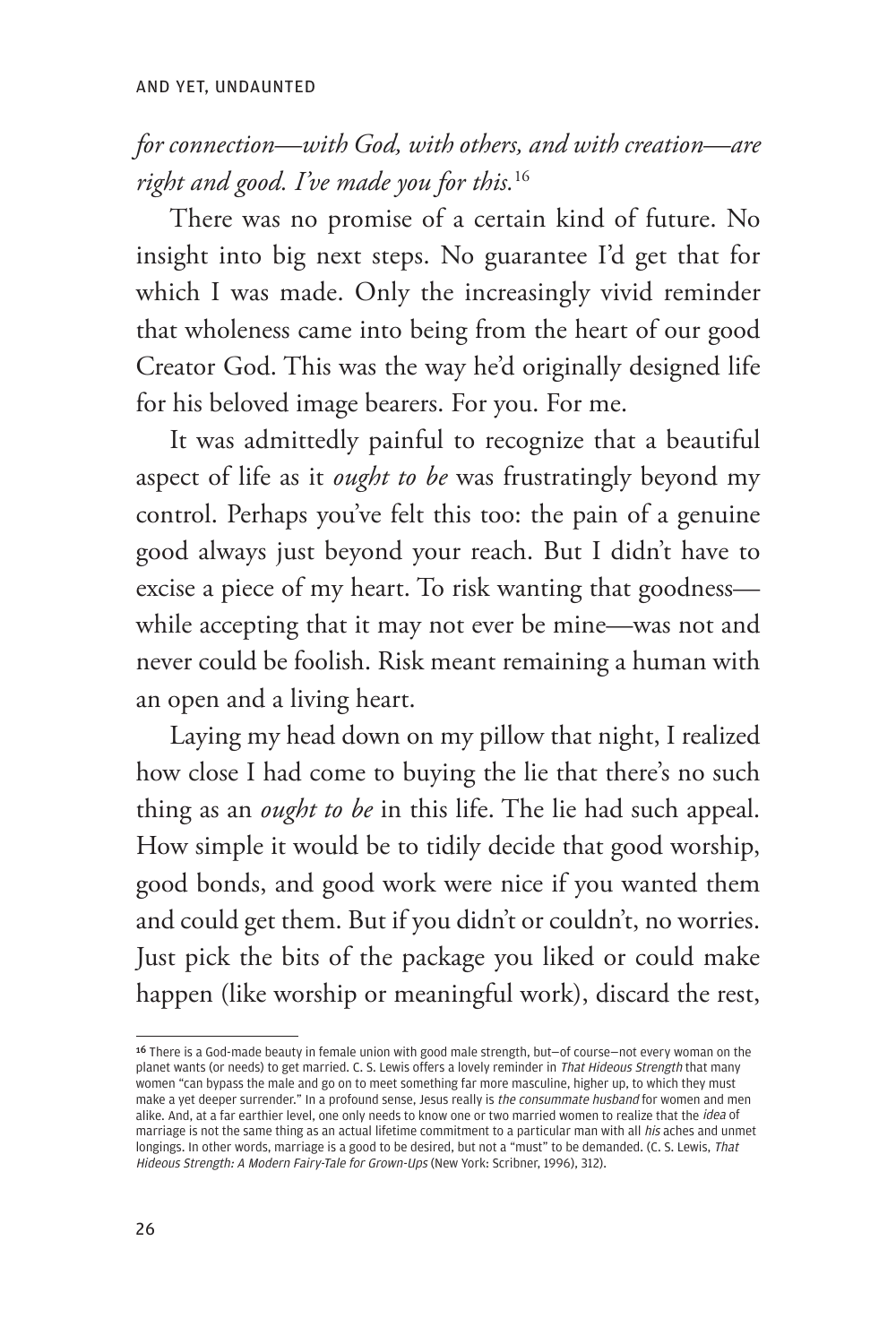*for connection—with God, with others, and with creation—are right and good. I've made you for this.*<sup>16</sup>

There was no promise of a certain kind of future. No insight into big next steps. No guarantee I'd get that for which I was made. Only the increasingly vivid reminder that wholeness came into being from the heart of our good Creator God. This was the way he'd originally designed life for his beloved image bearers. For you. For me.

It was admittedly painful to recognize that a beautiful aspect of life as it *ought to be* was frustratingly beyond my control. Perhaps you've felt this too: the pain of a genuine good always just beyond your reach. But I didn't have to excise a piece of my heart. To risk wanting that goodness while accepting that it may not ever be mine—was not and never could be foolish. Risk meant remaining a human with an open and a living heart.

Laying my head down on my pillow that night, I realized how close I had come to buying the lie that there's no such thing as an *ought to be* in this life. The lie had such appeal. How simple it would be to tidily decide that good worship, good bonds, and good work were nice if you wanted them and could get them. But if you didn't or couldn't, no worries. Just pick the bits of the package you liked or could make happen (like worship or meaningful work), discard the rest,

<sup>16</sup> There is a God-made beauty in female union with good male strength, but—of course—not every woman on the planet wants (or needs) to get married. C. S. Lewis offers a lovely reminder in That Hideous Strength that many women "can bypass the male and go on to meet something far more masculine, higher up, to which they must make a yet deeper surrender." In a profound sense, Jesus really is the consummate husband for women and men alike. And, at a far earthier level, one only needs to know one or two married women to realize that the idea of marriage is not the same thing as an actual lifetime commitment to a particular man with all *his* aches and unmet longings. In other words, marriage is a good to be desired, but not a "must" to be demanded. (C. S. Lewis, That Hideous Strength: A Modern Fairy-Tale for Grown-Ups (New York: Scribner, 1996), 312).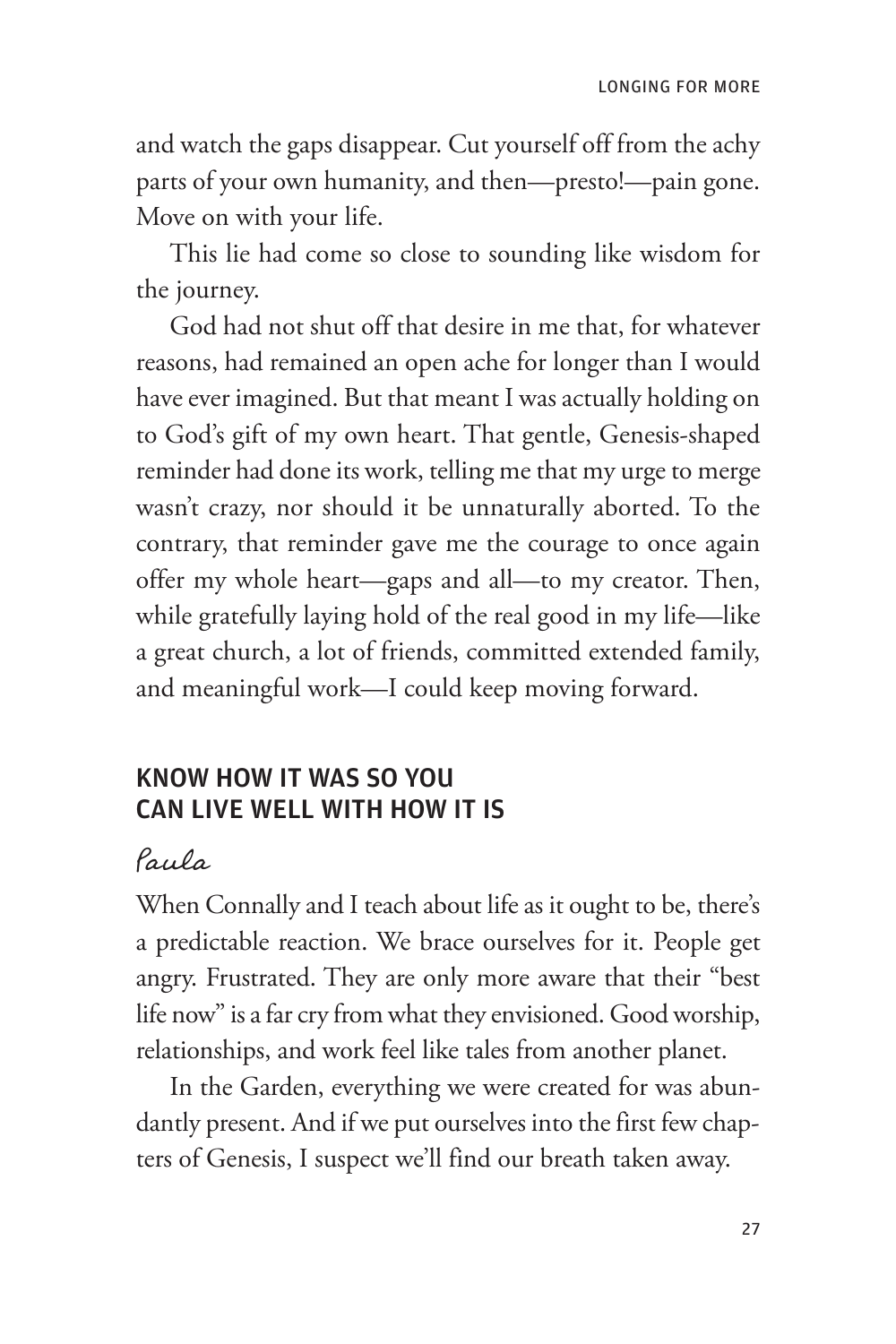and watch the gaps disappear. Cut yourself off from the achy parts of your own humanity, and then—presto!—pain gone. Move on with your life.

This lie had come so close to sounding like wisdom for the journey.

God had not shut off that desire in me that, for whatever reasons, had remained an open ache for longer than I would have ever imagined. But that meant I was actually holding on to God's gift of my own heart. That gentle, Genesis-shaped reminder had done its work, telling me that my urge to merge wasn't crazy, nor should it be unnaturally aborted. To the contrary, that reminder gave me the courage to once again offer my whole heart—gaps and all—to my creator. Then, while gratefully laying hold of the real good in my life—like a great church, a lot of friends, committed extended family, and meaningful work—I could keep moving forward.

### KNOW HOW IT WAS SO YOU CAN LIVE WELL WITH HOW IT IS

## Paula

When Connally and I teach about life as it ought to be, there's a predictable reaction. We brace ourselves for it. People get angry. Frustrated. They are only more aware that their "best life now" is a far cry from what they envisioned. Good worship, relationships, and work feel like tales from another planet.

In the Garden, everything we were created for was abundantly present. And if we put ourselves into the first few chapters of Genesis, I suspect we'll find our breath taken away.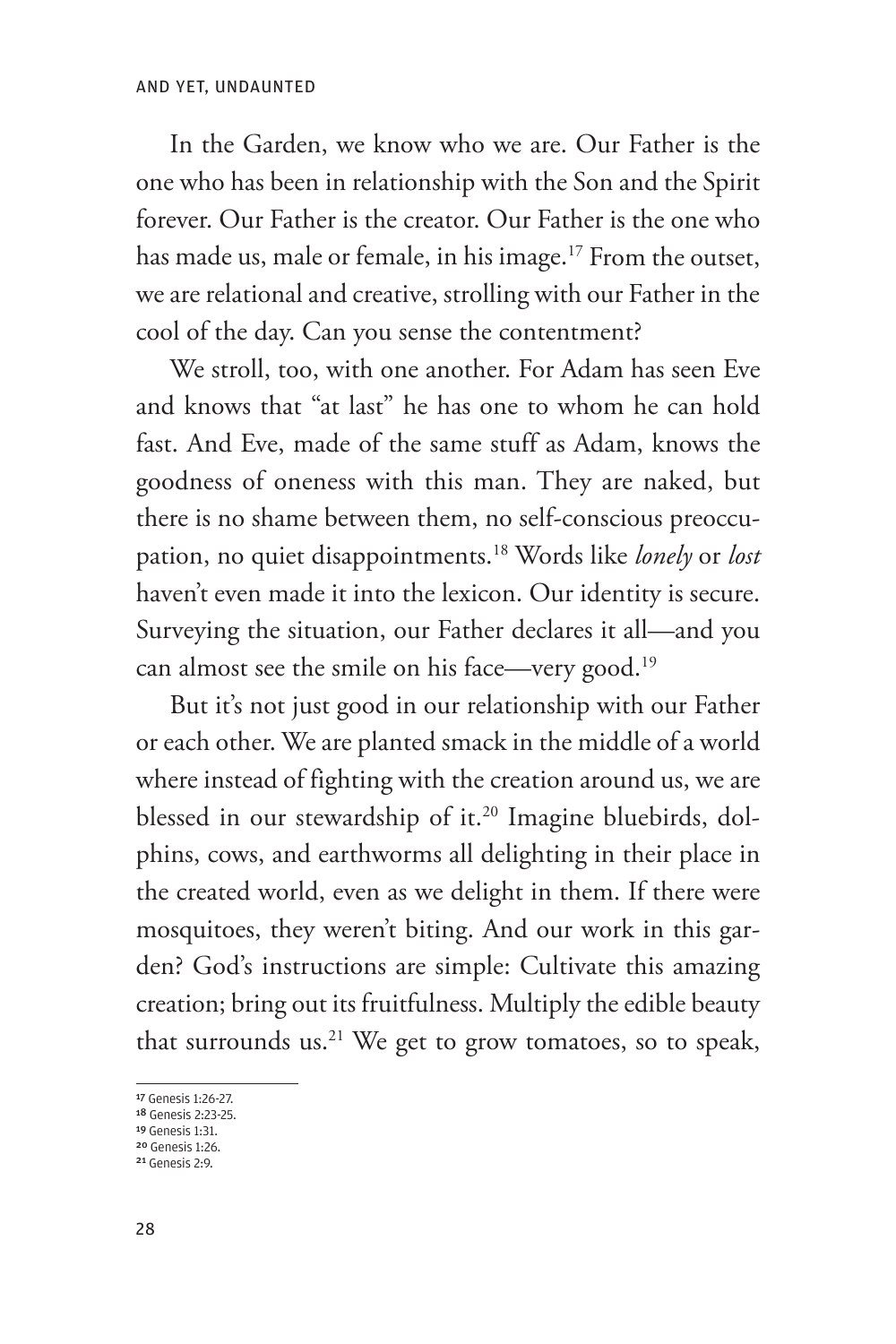In the Garden, we know who we are. Our Father is the one who has been in relationship with the Son and the Spirit forever. Our Father is the creator. Our Father is the one who has made us, male or female, in his image.<sup>17</sup> From the outset, we are relational and creative, strolling with our Father in the cool of the day. Can you sense the contentment?

We stroll, too, with one another. For Adam has seen Eve and knows that "at last" he has one to whom he can hold fast. And Eve, made of the same stuff as Adam, knows the goodness of oneness with this man. They are naked, but there is no shame between them, no self-conscious preoccupation, no quiet disappointments.18 Words like *lonely* or *lost* haven't even made it into the lexicon. Our identity is secure. Surveying the situation, our Father declares it all—and you can almost see the smile on his face—very good.<sup>19</sup>

But it's not just good in our relationship with our Father or each other. We are planted smack in the middle of a world where instead of fighting with the creation around us, we are blessed in our stewardship of it.<sup>20</sup> Imagine bluebirds, dolphins, cows, and earthworms all delighting in their place in the created world, even as we delight in them. If there were mosquitoes, they weren't biting. And our work in this garden? God's instructions are simple: Cultivate this amazing creation; bring out its fruitfulness. Multiply the edible beauty that surrounds us.<sup>21</sup> We get to grow tomatoes, so to speak,

<sup>17</sup> Genesis 1:26-27.

<sup>18</sup> Genesis 2:23-25. 19 Genesis 1:31.

<sup>20</sup> Genesis 1:26.

<sup>21</sup> Genesis 2:9.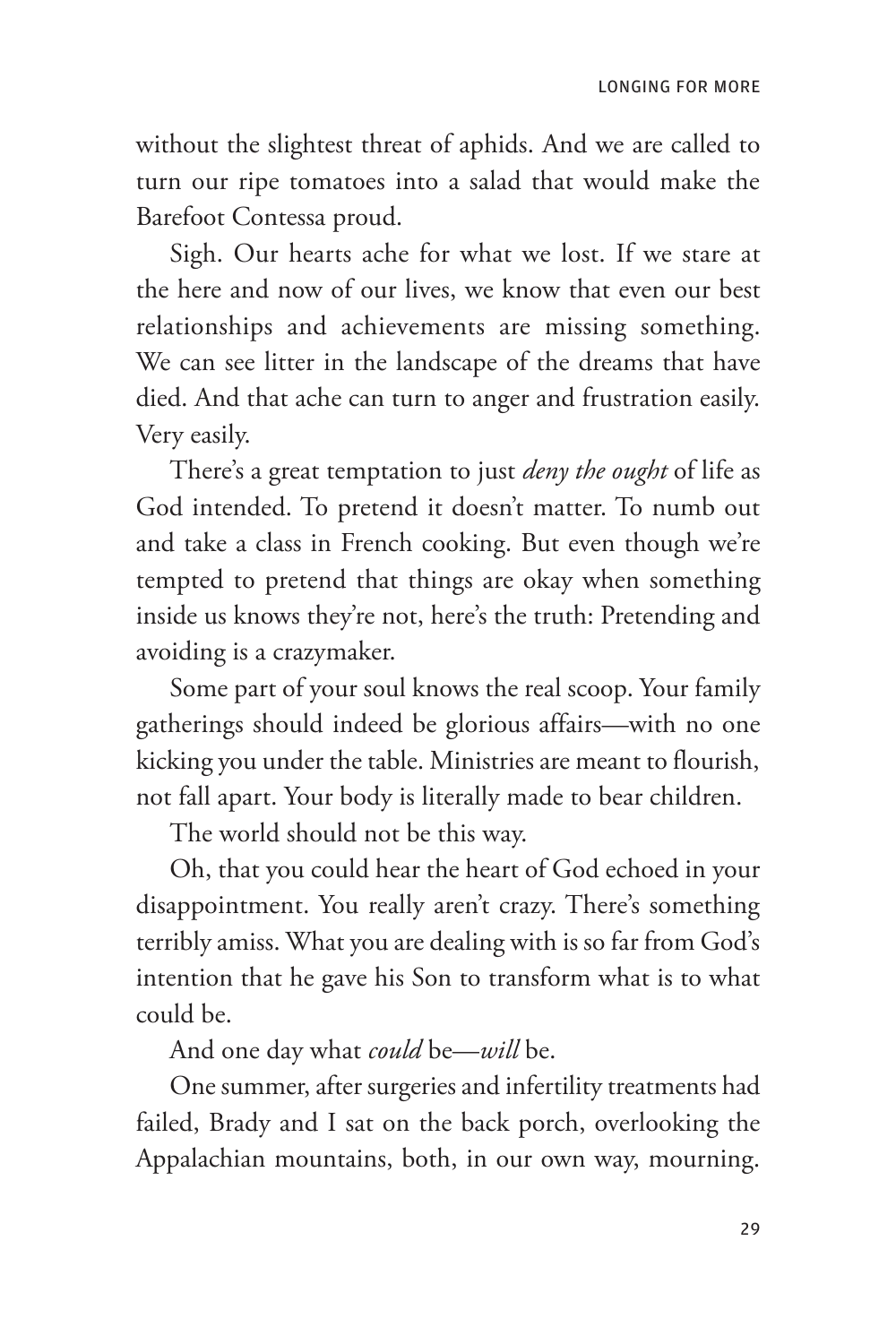Longing for More

without the slightest threat of aphids. And we are called to turn our ripe tomatoes into a salad that would make the Barefoot Contessa proud.

Sigh. Our hearts ache for what we lost. If we stare at the here and now of our lives, we know that even our best relationships and achievements are missing something. We can see litter in the landscape of the dreams that have died. And that ache can turn to anger and frustration easily. Very easily.

There's a great temptation to just *deny the ought* of life as God intended. To pretend it doesn't matter. To numb out and take a class in French cooking. But even though we're tempted to pretend that things are okay when something inside us knows they're not, here's the truth: Pretending and avoiding is a crazymaker.

Some part of your soul knows the real scoop. Your family gatherings should indeed be glorious affairs—with no one kicking you under the table. Ministries are meant to flourish, not fall apart. Your body is literally made to bear children.

The world should not be this way.

Oh, that you could hear the heart of God echoed in your disappointment. You really aren't crazy. There's something terribly amiss. What you are dealing with is so far from God's intention that he gave his Son to transform what is to what could be.

And one day what *could* be—*will* be.

One summer, after surgeries and infertility treatments had failed, Brady and I sat on the back porch, overlooking the Appalachian mountains, both, in our own way, mourning.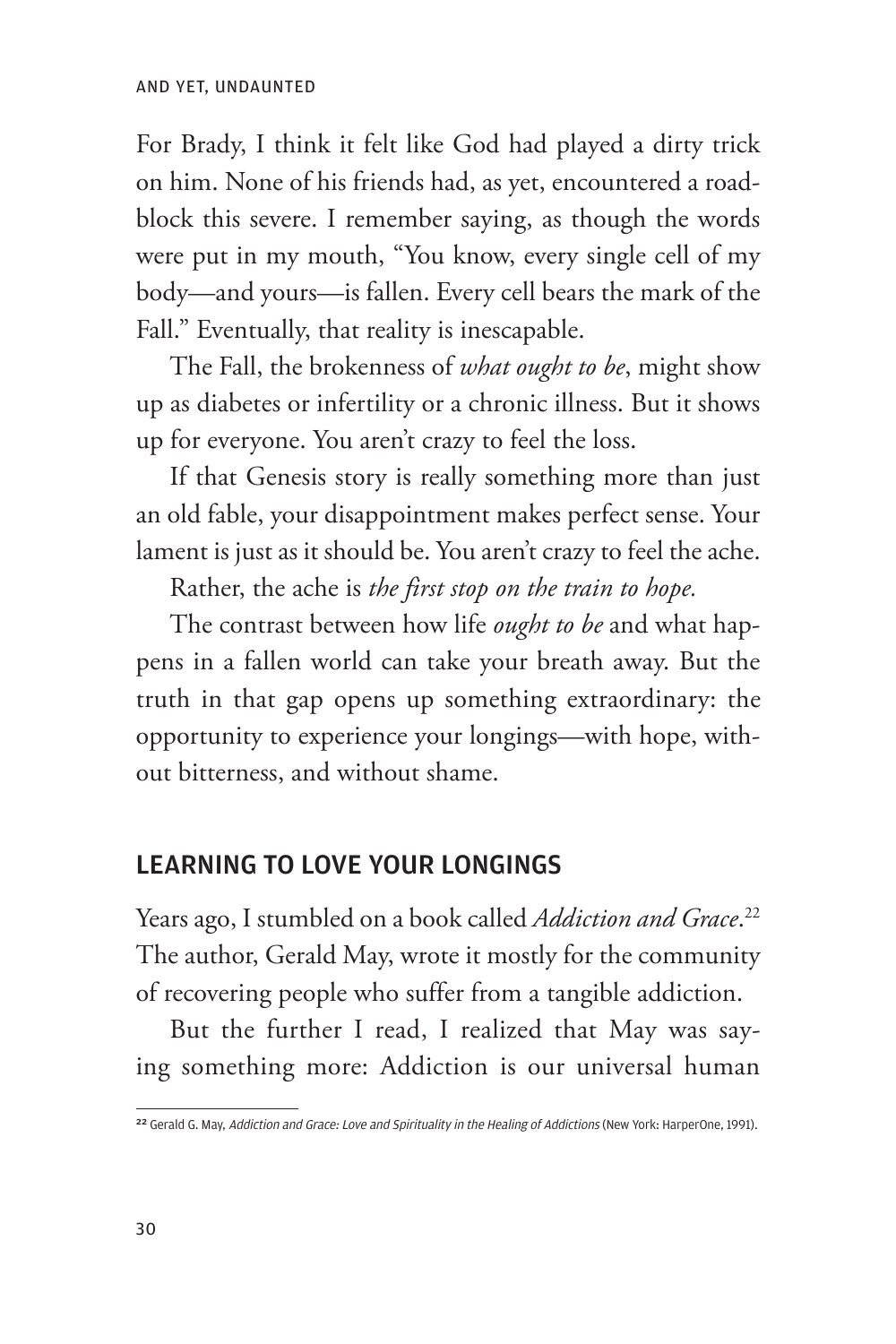For Brady, I think it felt like God had played a dirty trick on him. None of his friends had, as yet, encountered a roadblock this severe. I remember saying, as though the words were put in my mouth, "You know, every single cell of my body—and yours—is fallen. Every cell bears the mark of the Fall." Eventually, that reality is inescapable.

The Fall, the brokenness of *what ought to be*, might show up as diabetes or infertility or a chronic illness. But it shows up for everyone. You aren't crazy to feel the loss.

If that Genesis story is really something more than just an old fable, your disappointment makes perfect sense. Your lament is just as it should be. You aren't crazy to feel the ache.

Rather, the ache is *the first stop on the train to hope.* 

The contrast between how life *ought to be* and what happens in a fallen world can take your breath away. But the truth in that gap opens up something extraordinary: the opportunity to experience your longings—with hope, without bitterness, and without shame.

#### LEARNING TO LOVE YOUR LONGINGS

Years ago, I stumbled on a book called *Addiction and Grace*. 22 The author, Gerald May, wrote it mostly for the community of recovering people who suffer from a tangible addiction.

But the further I read, I realized that May was saying something more: Addiction is our universal human

<sup>&</sup>lt;sup>22</sup> Gerald G. May, Addiction and Grace: Love and Spirituality in the Healing of Addictions (New York: HarperOne, 1991).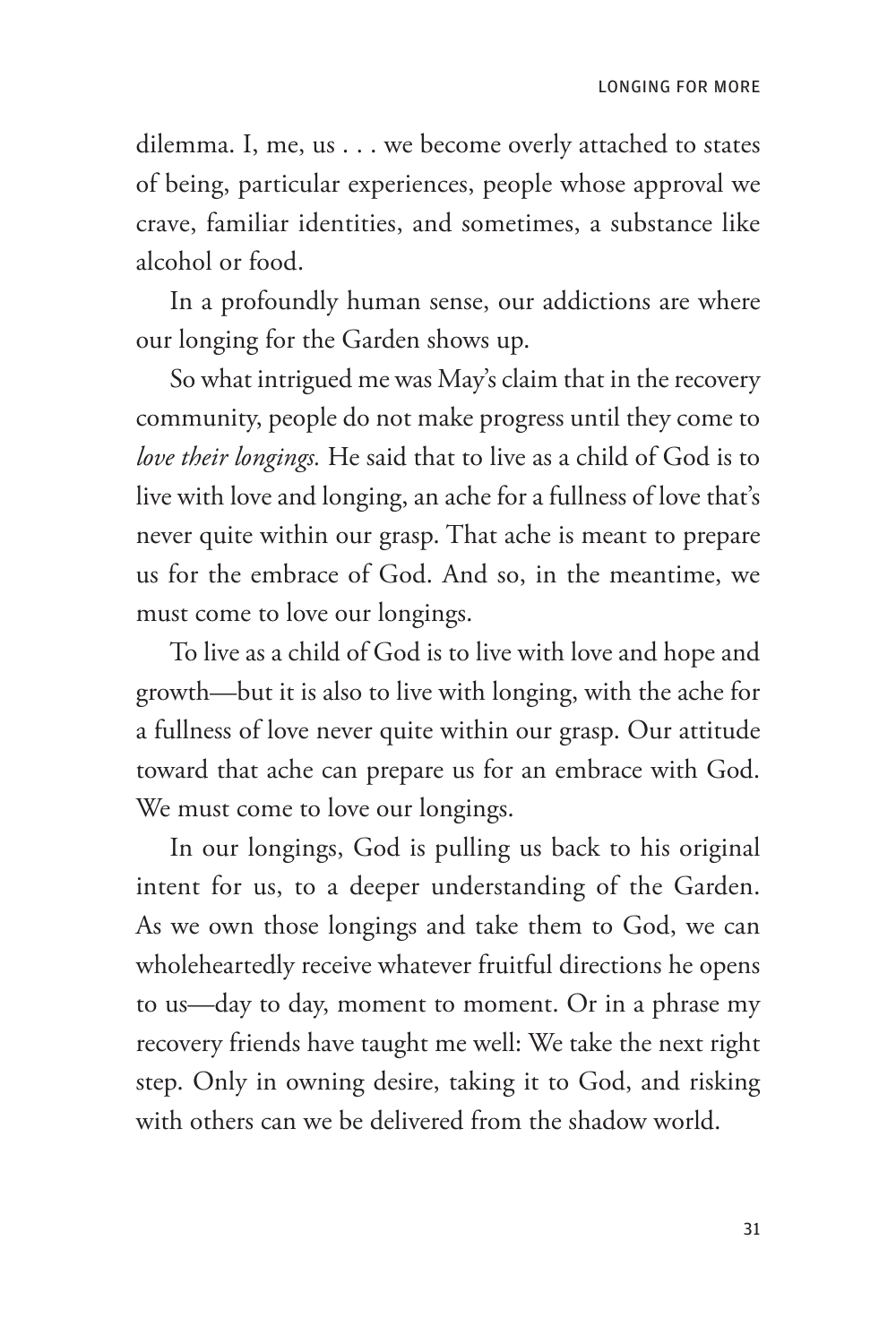dilemma. I, me, us . . . we become overly attached to states of being, particular experiences, people whose approval we crave, familiar identities, and sometimes, a substance like alcohol or food.

In a profoundly human sense, our addictions are where our longing for the Garden shows up.

So what intrigued me was May's claim that in the recovery community, people do not make progress until they come to *love their longings.* He said that to live as a child of God is to live with love and longing, an ache for a fullness of love that's never quite within our grasp. That ache is meant to prepare us for the embrace of God. And so, in the meantime, we must come to love our longings.

To live as a child of God is to live with love and hope and growth—but it is also to live with longing, with the ache for a fullness of love never quite within our grasp. Our attitude toward that ache can prepare us for an embrace with God. We must come to love our longings.

In our longings, God is pulling us back to his original intent for us, to a deeper understanding of the Garden. As we own those longings and take them to God, we can wholeheartedly receive whatever fruitful directions he opens to us—day to day, moment to moment. Or in a phrase my recovery friends have taught me well: We take the next right step. Only in owning desire, taking it to God, and risking with others can we be delivered from the shadow world.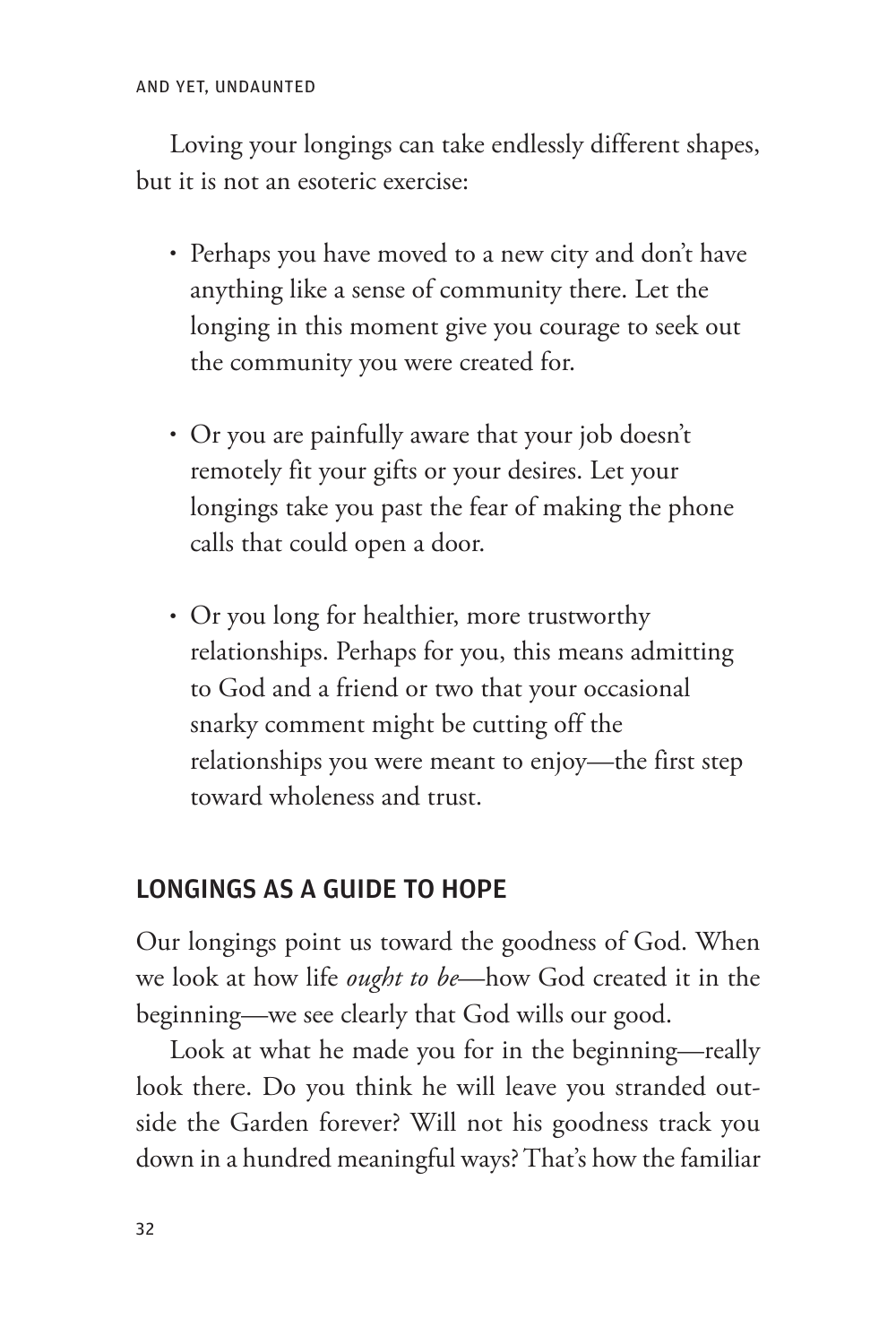Loving your longings can take endlessly different shapes, but it is not an esoteric exercise:

- Perhaps you have moved to a new city and don't have anything like a sense of community there. Let the longing in this moment give you courage to seek out the community you were created for.
- Or you are painfully aware that your job doesn't remotely fit your gifts or your desires. Let your longings take you past the fear of making the phone calls that could open a door.
- Or you long for healthier, more trustworthy relationships. Perhaps for you, this means admitting to God and a friend or two that your occasional snarky comment might be cutting off the relationships you were meant to enjoy—the first step toward wholeness and trust.

## LONGINGS AS A GUIDE TO HOPE

Our longings point us toward the goodness of God. When we look at how life *ought to be*—how God created it in the beginning—we see clearly that God wills our good.

Look at what he made you for in the beginning—really look there. Do you think he will leave you stranded outside the Garden forever? Will not his goodness track you down in a hundred meaningful ways? That's how the familiar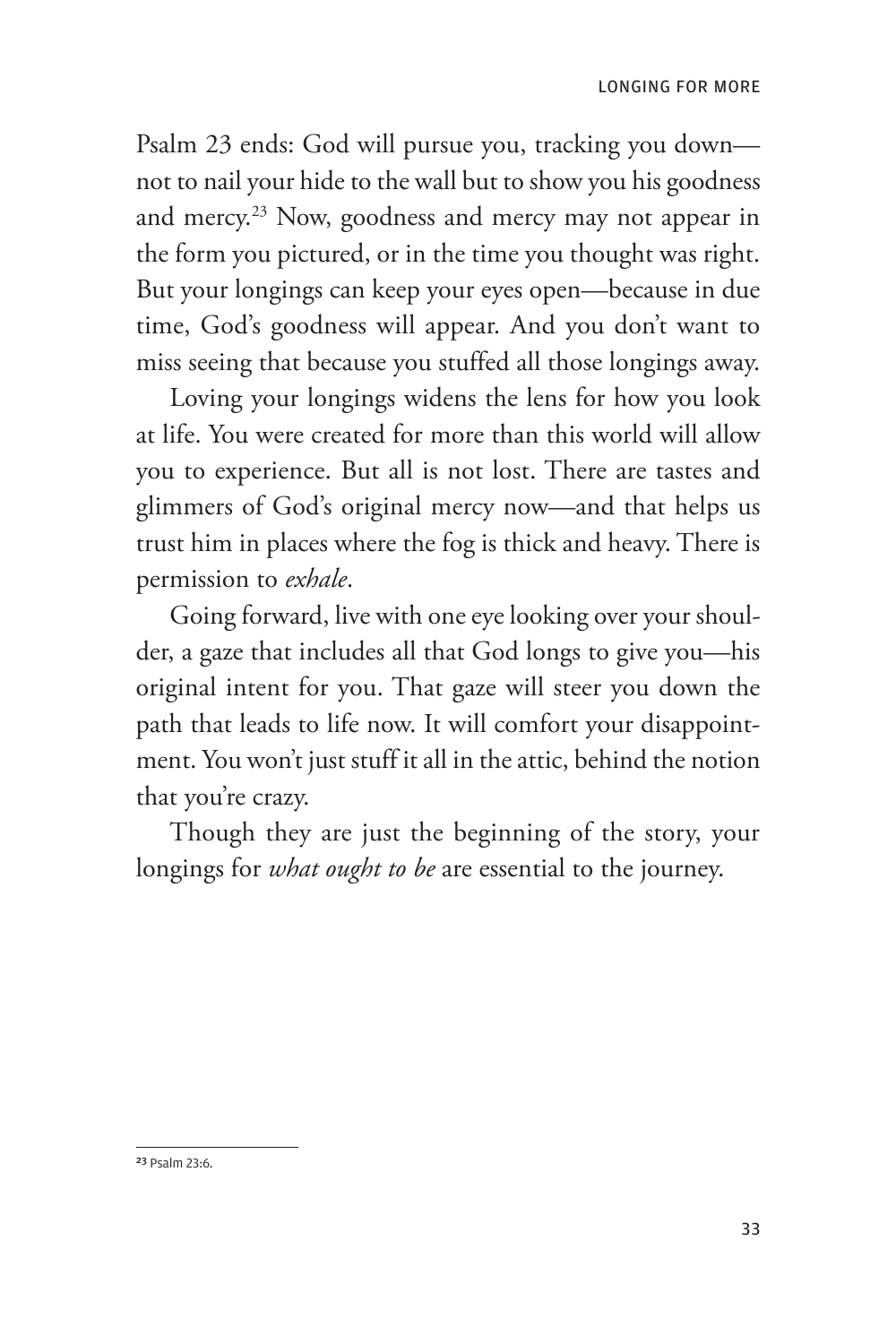Psalm 23 ends: God will pursue you, tracking you down not to nail your hide to the wall but to show you his goodness and mercy.23 Now, goodness and mercy may not appear in the form you pictured, or in the time you thought was right. But your longings can keep your eyes open—because in due time, God's goodness will appear. And you don't want to miss seeing that because you stuffed all those longings away.

Loving your longings widens the lens for how you look at life. You were created for more than this world will allow you to experience. But all is not lost. There are tastes and glimmers of God's original mercy now—and that helps us trust him in places where the fog is thick and heavy. There is permission to *exhale*.

Going forward, live with one eye looking over your shoulder, a gaze that includes all that God longs to give you—his original intent for you. That gaze will steer you down the path that leads to life now. It will comfort your disappointment. You won't just stuff it all in the attic, behind the notion that you're crazy.

Though they are just the beginning of the story, your longings for *what ought to be* are essential to the journey.

<sup>23</sup> Psalm 23:6.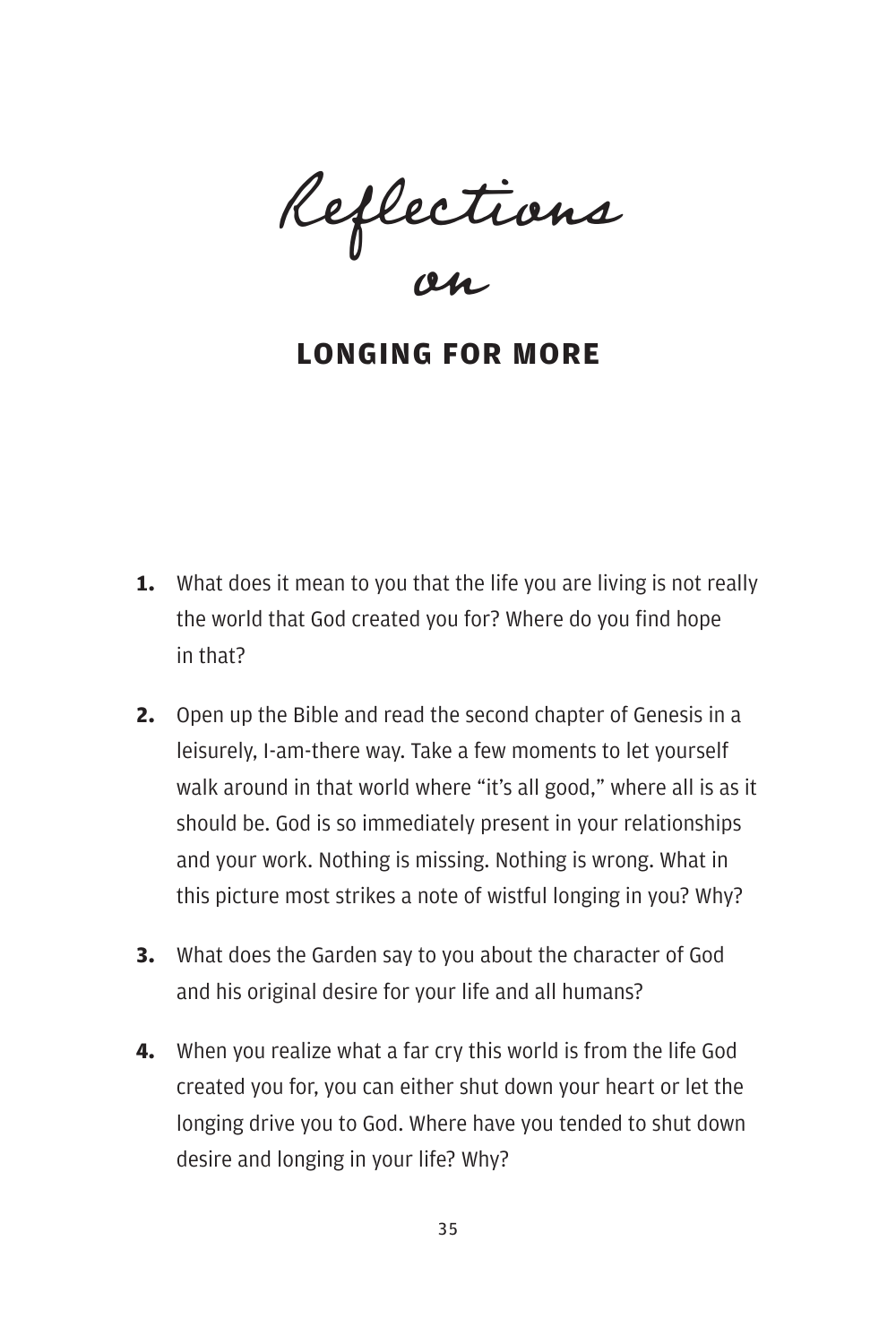<span id="page-46-0"></span>Reflections on

## **LONGING FOR MORE**

- **1.** What does it mean to you that the life you are living is not really the world that God created you for? Where do you find hope in that?
- **2.** Open up the Bible and read the second chapter of Genesis in a leisurely, I-am-there way. Take a few moments to let yourself walk around in that world where "it's all good," where all is as it should be. God is so immediately present in your relationships and your work. Nothing is missing. Nothing is wrong. What in this picture most strikes a note of wistful longing in you? Why?
- **3.** What does the Garden say to you about the character of God and his original desire for your life and all humans?
- **4.** When you realize what a far cry this world is from the life God created you for, you can either shut down your heart or let the longing drive you to God. Where have you tended to shut down desire and longing in your life? Why?